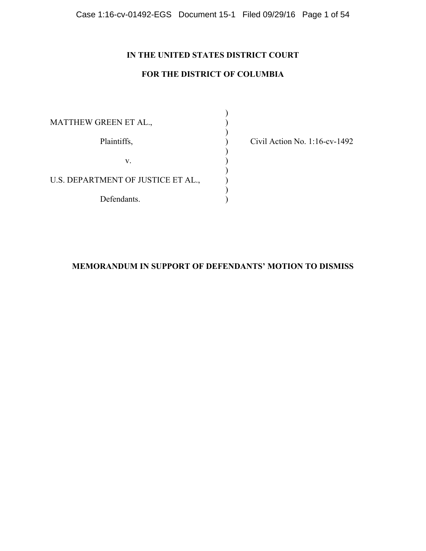# **IN THE UNITED STATES DISTRICT COURT**

# **FOR THE DISTRICT OF COLUMBIA**

)

)

)

)

MATTHEW GREEN ET AL.,  $($ Plaintiffs,  $\overrightarrow{O}$  Civil Action No. 1:16-cv-1492  $\mathbf{v}$ .  $\qquad \qquad$  )  $)$ U.S. DEPARTMENT OF JUSTICE ET AL.,  $\hspace{1cm}$  ) Defendants.

# **MEMORANDUM IN SUPPORT OF DEFENDANTS' MOTION TO DISMISS**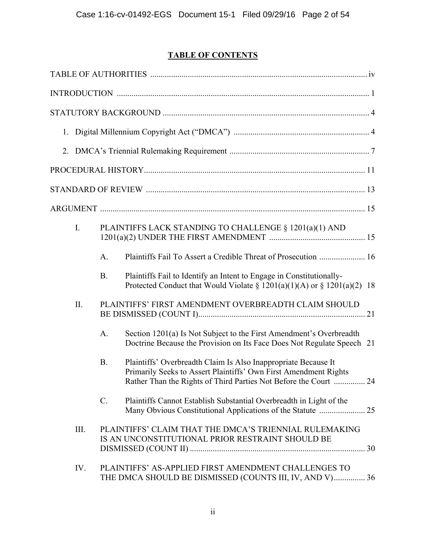# **TABLE OF CONTENTS**

| 2.   |                 |                                                                                                                                                                                                        |  |
|------|-----------------|--------------------------------------------------------------------------------------------------------------------------------------------------------------------------------------------------------|--|
|      |                 |                                                                                                                                                                                                        |  |
|      |                 |                                                                                                                                                                                                        |  |
|      |                 |                                                                                                                                                                                                        |  |
| I.   |                 | PLAINTIFFS LACK STANDING TO CHALLENGE § 1201(a)(1) AND                                                                                                                                                 |  |
|      | A.              | Plaintiffs Fail To Assert a Credible Threat of Prosecution  16                                                                                                                                         |  |
|      | <b>B.</b>       | Plaintiffs Fail to Identify an Intent to Engage in Constitutionally-<br>Protected Conduct that Would Violate § $1201(a)(1)(A)$ or § $1201(a)(2)$ 18                                                    |  |
| II.  |                 | PLAINTIFFS' FIRST AMENDMENT OVERBREADTH CLAIM SHOULD                                                                                                                                                   |  |
|      | A.              | Section 1201(a) Is Not Subject to the First Amendment's Overbreadth<br>Doctrine Because the Provision on Its Face Does Not Regulate Speech 21                                                          |  |
|      | <b>B.</b>       | Plaintiffs' Overbreadth Claim Is Also Inappropriate Because It<br>Primarily Seeks to Assert Plaintiffs' Own First Amendment Rights<br>Rather Than the Rights of Third Parties Not Before the Court  24 |  |
|      | $\mathcal{C}$ . | Plaintiffs Cannot Establish Substantial Overbreadth in Light of the                                                                                                                                    |  |
| III. |                 | PLAINTIFFS' CLAIM THAT THE DMCA'S TRIENNIAL RULEMAKING<br>IS AN UNCONSTITUTIONAL PRIOR RESTRAINT SHOULD BE                                                                                             |  |
| IV.  |                 | PLAINTIFFS' AS-APPLIED FIRST AMENDMENT CHALLENGES TO<br>THE DMCA SHOULD BE DISMISSED (COUNTS III, IV, AND V) 36                                                                                        |  |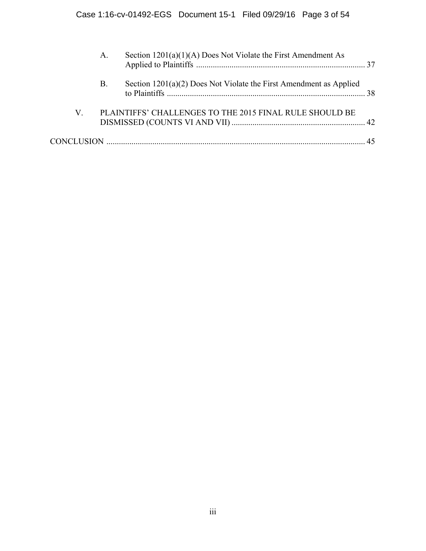|                 | A. | Section $1201(a)(1)(A)$ Does Not Violate the First Amendment As      |  |
|-----------------|----|----------------------------------------------------------------------|--|
|                 | B. | Section $1201(a)(2)$ Does Not Violate the First Amendment as Applied |  |
| $V_{\parallel}$ |    | PLAINTIFFS' CHALLENGES TO THE 2015 FINAL RULE SHOULD BE              |  |
|                 |    |                                                                      |  |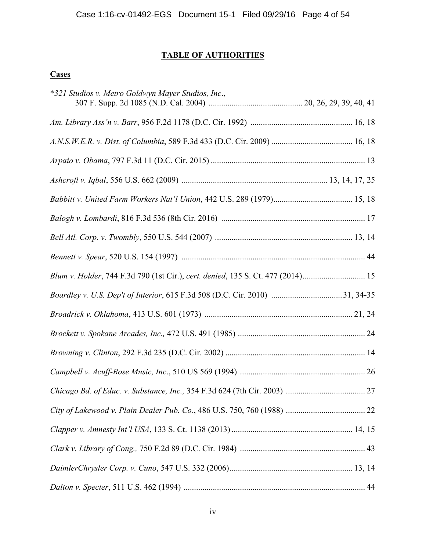# **TABLE OF AUTHORITIES**

# **Cases**

| *321 Studios v. Metro Goldwyn Mayer Studios, Inc.,                              |  |
|---------------------------------------------------------------------------------|--|
|                                                                                 |  |
|                                                                                 |  |
|                                                                                 |  |
|                                                                                 |  |
|                                                                                 |  |
|                                                                                 |  |
|                                                                                 |  |
|                                                                                 |  |
| Blum v. Holder, 744 F.3d 790 (1st Cir.), cert. denied, 135 S. Ct. 477 (2014) 15 |  |
|                                                                                 |  |
|                                                                                 |  |
|                                                                                 |  |
|                                                                                 |  |
|                                                                                 |  |
|                                                                                 |  |
|                                                                                 |  |
|                                                                                 |  |
|                                                                                 |  |
|                                                                                 |  |
|                                                                                 |  |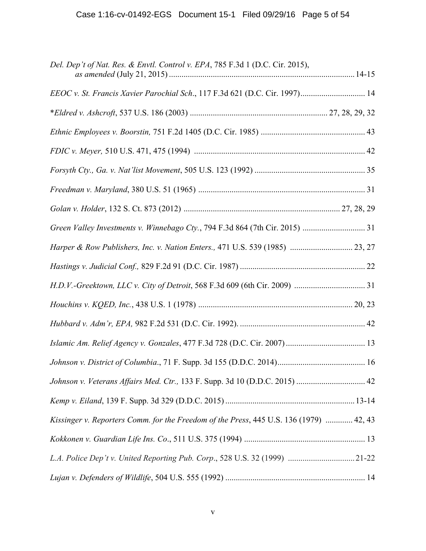| Del. Dep't of Nat. Res. & Envtl. Control v. EPA, 785 F.3d 1 (D.C. Cir. 2015),          |  |
|----------------------------------------------------------------------------------------|--|
| EEOC v. St. Francis Xavier Parochial Sch., 117 F.3d 621 (D.C. Cir. 1997) 14            |  |
|                                                                                        |  |
|                                                                                        |  |
|                                                                                        |  |
|                                                                                        |  |
|                                                                                        |  |
|                                                                                        |  |
|                                                                                        |  |
| Harper & Row Publishers, Inc. v. Nation Enters., 471 U.S. 539 (1985)  23, 27           |  |
|                                                                                        |  |
|                                                                                        |  |
|                                                                                        |  |
|                                                                                        |  |
|                                                                                        |  |
|                                                                                        |  |
| Johnson v. Veterans Affairs Med. Ctr., 133 F. Supp. 3d 10 (D.D.C. 2015)  42            |  |
|                                                                                        |  |
| Kissinger v. Reporters Comm. for the Freedom of the Press, 445 U.S. 136 (1979)  42, 43 |  |
|                                                                                        |  |
| L.A. Police Dep't v. United Reporting Pub. Corp., 528 U.S. 32 (1999) 21-22             |  |
|                                                                                        |  |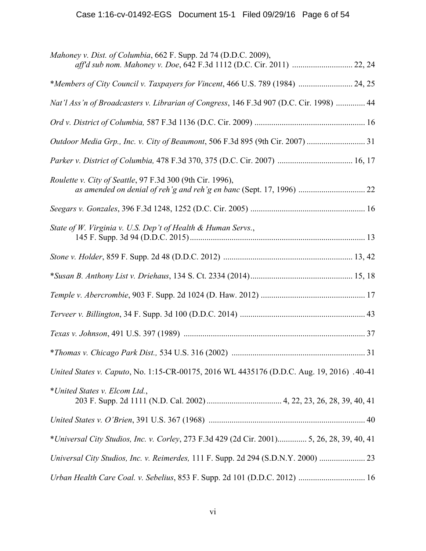| Mahoney v. Dist. of Columbia, 662 F. Supp. 2d 74 (D.D.C. 2009),<br>aff'd sub nom. Mahoney v. Doe, 642 F.3d 1112 (D.C. Cir. 2011)  22, 24 |
|------------------------------------------------------------------------------------------------------------------------------------------|
| *Members of City Council v. Taxpayers for Vincent, 466 U.S. 789 (1984)  24, 25                                                           |
| Nat'l Ass'n of Broadcasters v. Librarian of Congress, 146 F.3d 907 (D.C. Cir. 1998)  44                                                  |
|                                                                                                                                          |
| Outdoor Media Grp., Inc. v. City of Beaumont, 506 F.3d 895 (9th Cir. 2007) 31                                                            |
| Parker v. District of Columbia, 478 F.3d 370, 375 (D.C. Cir. 2007)  16, 17                                                               |
| Roulette v. City of Seattle, 97 F.3d 300 (9th Cir. 1996),                                                                                |
|                                                                                                                                          |
| State of W. Virginia v. U.S. Dep't of Health & Human Servs.,                                                                             |
|                                                                                                                                          |
|                                                                                                                                          |
|                                                                                                                                          |
|                                                                                                                                          |
|                                                                                                                                          |
|                                                                                                                                          |
| United States v. Caputo, No. 1:15-CR-00175, 2016 WL 4435176 (D.D.C. Aug. 19, 2016) .40-41                                                |
| *United States v. Elcom Ltd.,                                                                                                            |
|                                                                                                                                          |
| *Universal City Studios, Inc. v. Corley, 273 F.3d 429 (2d Cir. 2001) 5, 26, 28, 39, 40, 41                                               |
| Universal City Studios, Inc. v. Reimerdes, 111 F. Supp. 2d 294 (S.D.N.Y. 2000)                                                           |
| Urban Health Care Coal. v. Sebelius, 853 F. Supp. 2d 101 (D.D.C. 2012)  16                                                               |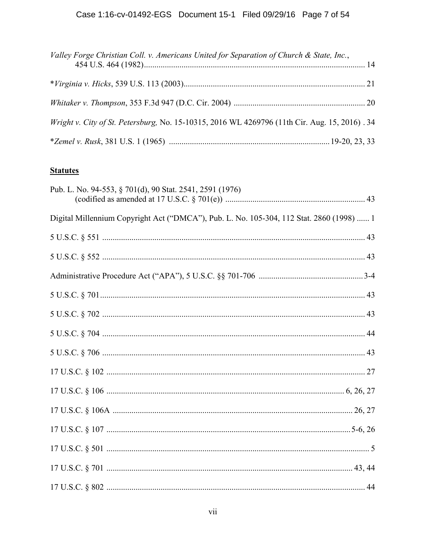| Valley Forge Christian Coll. v. Americans United for Separation of Church & State, Inc.,      |  |
|-----------------------------------------------------------------------------------------------|--|
|                                                                                               |  |
|                                                                                               |  |
| Wright v. City of St. Petersburg, No. 15-10315, 2016 WL 4269796 (11th Cir. Aug. 15, 2016). 34 |  |
|                                                                                               |  |

# **Statutes**

| Pub. L. No. 94-553, § 701(d), 90 Stat. 2541, 2591 (1976)                                 |  |
|------------------------------------------------------------------------------------------|--|
| Digital Millennium Copyright Act ("DMCA"), Pub. L. No. 105-304, 112 Stat. 2860 (1998)  1 |  |
|                                                                                          |  |
|                                                                                          |  |
|                                                                                          |  |
| $5 \text{ U.S.C.} \$ $701 \dots 43$                                                      |  |
|                                                                                          |  |
|                                                                                          |  |
|                                                                                          |  |
|                                                                                          |  |
|                                                                                          |  |
|                                                                                          |  |
|                                                                                          |  |
|                                                                                          |  |
|                                                                                          |  |
|                                                                                          |  |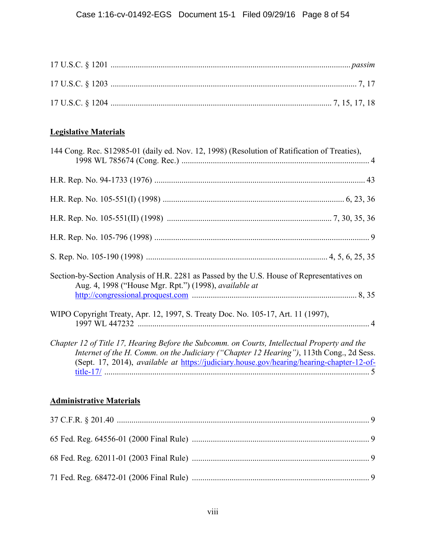# **Legislative Materials**

| 144 Cong. Rec. S12985-01 (daily ed. Nov. 12, 1998) (Resolution of Ratification of Treaties),                                                                                                                                                                                         |  |
|--------------------------------------------------------------------------------------------------------------------------------------------------------------------------------------------------------------------------------------------------------------------------------------|--|
|                                                                                                                                                                                                                                                                                      |  |
|                                                                                                                                                                                                                                                                                      |  |
|                                                                                                                                                                                                                                                                                      |  |
|                                                                                                                                                                                                                                                                                      |  |
|                                                                                                                                                                                                                                                                                      |  |
| Section-by-Section Analysis of H.R. 2281 as Passed by the U.S. House of Representatives on<br>Aug. 4, 1998 ("House Mgr. Rpt.") (1998), available at                                                                                                                                  |  |
| WIPO Copyright Treaty, Apr. 12, 1997, S. Treaty Doc. No. 105-17, Art. 11 (1997),                                                                                                                                                                                                     |  |
| Chapter 12 of Title 17, Hearing Before the Subcomm. on Courts, Intellectual Property and the<br>Internet of the H. Comm. on the Judiciary ("Chapter 12 Hearing"), 113th Cong., 2d Sess.<br>(Sept. 17, 2014), available at https://judiciary.house.gov/hearing/hearing-chapter-12-of- |  |
| <b>Administrative Materials</b>                                                                                                                                                                                                                                                      |  |
|                                                                                                                                                                                                                                                                                      |  |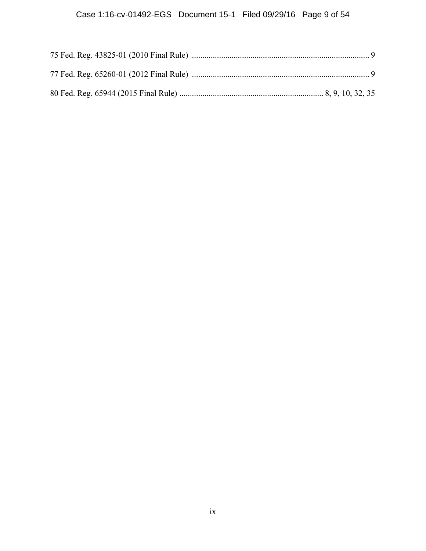# Case 1:16-cv-01492-EGS Document 15-1 Filed 09/29/16 Page 9 of 54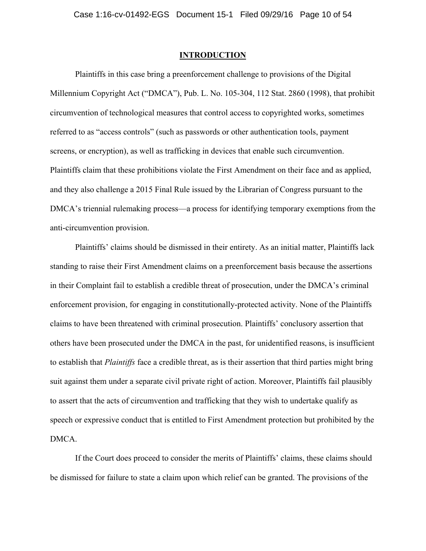### **INTRODUCTION**

Plaintiffs in this case bring a preenforcement challenge to provisions of the Digital Millennium Copyright Act ("DMCA"), Pub. L. No. 105-304, 112 Stat. 2860 (1998), that prohibit circumvention of technological measures that control access to copyrighted works, sometimes referred to as "access controls" (such as passwords or other authentication tools, payment screens, or encryption), as well as trafficking in devices that enable such circumvention. Plaintiffs claim that these prohibitions violate the First Amendment on their face and as applied, and they also challenge a 2015 Final Rule issued by the Librarian of Congress pursuant to the DMCA's triennial rulemaking process—a process for identifying temporary exemptions from the anti-circumvention provision.

Plaintiffs' claims should be dismissed in their entirety. As an initial matter, Plaintiffs lack standing to raise their First Amendment claims on a preenforcement basis because the assertions in their Complaint fail to establish a credible threat of prosecution, under the DMCA's criminal enforcement provision, for engaging in constitutionally-protected activity. None of the Plaintiffs claims to have been threatened with criminal prosecution. Plaintiffs' conclusory assertion that others have been prosecuted under the DMCA in the past, for unidentified reasons, is insufficient to establish that *Plaintiffs* face a credible threat, as is their assertion that third parties might bring suit against them under a separate civil private right of action. Moreover, Plaintiffs fail plausibly to assert that the acts of circumvention and trafficking that they wish to undertake qualify as speech or expressive conduct that is entitled to First Amendment protection but prohibited by the DMCA.

If the Court does proceed to consider the merits of Plaintiffs' claims, these claims should be dismissed for failure to state a claim upon which relief can be granted. The provisions of the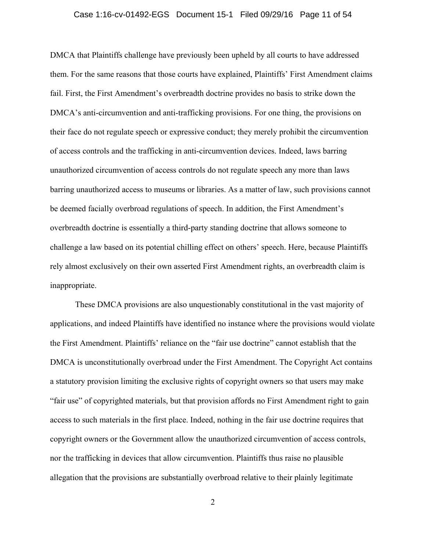### Case 1:16-cv-01492-EGS Document 15-1 Filed 09/29/16 Page 11 of 54

DMCA that Plaintiffs challenge have previously been upheld by all courts to have addressed them. For the same reasons that those courts have explained, Plaintiffs' First Amendment claims fail. First, the First Amendment's overbreadth doctrine provides no basis to strike down the DMCA's anti-circumvention and anti-trafficking provisions. For one thing, the provisions on their face do not regulate speech or expressive conduct; they merely prohibit the circumvention of access controls and the trafficking in anti-circumvention devices. Indeed, laws barring unauthorized circumvention of access controls do not regulate speech any more than laws barring unauthorized access to museums or libraries. As a matter of law, such provisions cannot be deemed facially overbroad regulations of speech. In addition, the First Amendment's overbreadth doctrine is essentially a third-party standing doctrine that allows someone to challenge a law based on its potential chilling effect on others' speech. Here, because Plaintiffs rely almost exclusively on their own asserted First Amendment rights, an overbreadth claim is inappropriate.

These DMCA provisions are also unquestionably constitutional in the vast majority of applications, and indeed Plaintiffs have identified no instance where the provisions would violate the First Amendment. Plaintiffs' reliance on the "fair use doctrine" cannot establish that the DMCA is unconstitutionally overbroad under the First Amendment. The Copyright Act contains a statutory provision limiting the exclusive rights of copyright owners so that users may make "fair use" of copyrighted materials, but that provision affords no First Amendment right to gain access to such materials in the first place. Indeed, nothing in the fair use doctrine requires that copyright owners or the Government allow the unauthorized circumvention of access controls, nor the trafficking in devices that allow circumvention. Plaintiffs thus raise no plausible allegation that the provisions are substantially overbroad relative to their plainly legitimate

2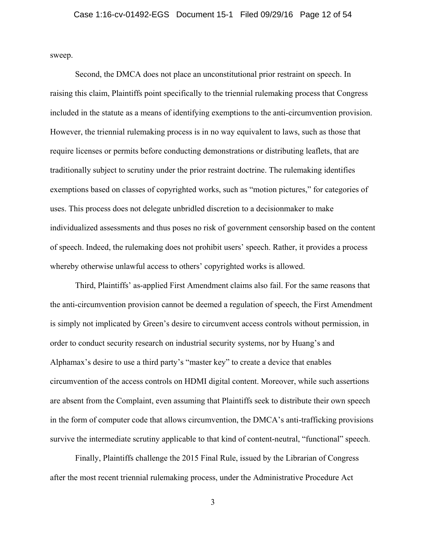sweep.

Second, the DMCA does not place an unconstitutional prior restraint on speech. In raising this claim, Plaintiffs point specifically to the triennial rulemaking process that Congress included in the statute as a means of identifying exemptions to the anti-circumvention provision. However, the triennial rulemaking process is in no way equivalent to laws, such as those that require licenses or permits before conducting demonstrations or distributing leaflets, that are traditionally subject to scrutiny under the prior restraint doctrine. The rulemaking identifies exemptions based on classes of copyrighted works, such as "motion pictures," for categories of uses. This process does not delegate unbridled discretion to a decisionmaker to make individualized assessments and thus poses no risk of government censorship based on the content of speech. Indeed, the rulemaking does not prohibit users' speech. Rather, it provides a process whereby otherwise unlawful access to others' copyrighted works is allowed.

Third, Plaintiffs' as-applied First Amendment claims also fail. For the same reasons that the anti-circumvention provision cannot be deemed a regulation of speech, the First Amendment is simply not implicated by Green's desire to circumvent access controls without permission, in order to conduct security research on industrial security systems, nor by Huang's and Alphamax's desire to use a third party's "master key" to create a device that enables circumvention of the access controls on HDMI digital content. Moreover, while such assertions are absent from the Complaint, even assuming that Plaintiffs seek to distribute their own speech in the form of computer code that allows circumvention, the DMCA's anti-trafficking provisions survive the intermediate scrutiny applicable to that kind of content-neutral, "functional" speech.

Finally, Plaintiffs challenge the 2015 Final Rule, issued by the Librarian of Congress after the most recent triennial rulemaking process, under the Administrative Procedure Act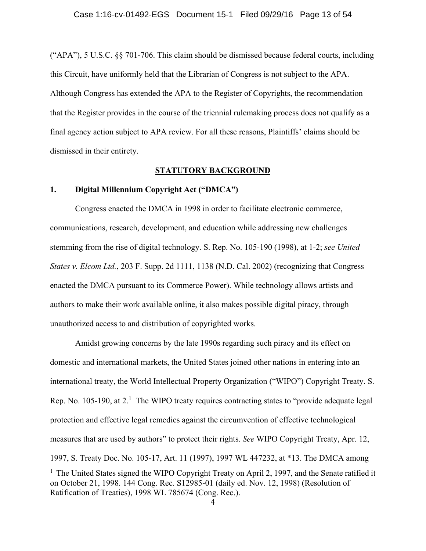("APA"), 5 U.S.C. §§ 701-706. This claim should be dismissed because federal courts, including this Circuit, have uniformly held that the Librarian of Congress is not subject to the APA. Although Congress has extended the APA to the Register of Copyrights, the recommendation that the Register provides in the course of the triennial rulemaking process does not qualify as a final agency action subject to APA review. For all these reasons, Plaintiffs' claims should be dismissed in their entirety.

### **STATUTORY BACKGROUND**

### **1. Digital Millennium Copyright Act ("DMCA")**

Congress enacted the DMCA in 1998 in order to facilitate electronic commerce, communications, research, development, and education while addressing new challenges stemming from the rise of digital technology. S. Rep. No. 105-190 (1998), at 1-2; *see United States v. Elcom Ltd.*, 203 F. Supp. 2d 1111, 1138 (N.D. Cal. 2002) (recognizing that Congress enacted the DMCA pursuant to its Commerce Power). While technology allows artists and authors to make their work available online, it also makes possible digital piracy, through unauthorized access to and distribution of copyrighted works.

Amidst growing concerns by the late 1990s regarding such piracy and its effect on domestic and international markets, the United States joined other nations in entering into an international treaty, the World Intellectual Property Organization ("WIPO") Copyright Treaty. S. Rep. No. 105-190, at 2.<sup>1</sup> The WIPO treaty requires contracting states to "provide adequate legal protection and effective legal remedies against the circumvention of effective technological measures that are used by authors" to protect their rights. *See* WIPO Copyright Treaty, Apr. 12, 1997, S. Treaty Doc. No. 105-17, Art. 11 (1997), 1997 WL 447232, at \*13. The DMCA among

 $1$  The United States signed the WIPO Copyright Treaty on April 2, 1997, and the Senate ratified it on October 21, 1998. 144 Cong. Rec. S12985-01 (daily ed. Nov. 12, 1998) (Resolution of Ratification of Treaties), 1998 WL 785674 (Cong. Rec.).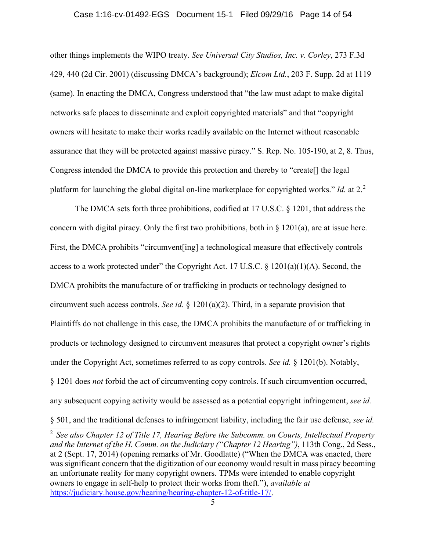#### Case 1:16-cv-01492-EGS Document 15-1 Filed 09/29/16 Page 14 of 54

other things implements the WIPO treaty. *See Universal City Studios, Inc. v. Corley*, 273 F.3d 429, 440 (2d Cir. 2001) (discussing DMCA's background); *Elcom Ltd.*, 203 F. Supp. 2d at 1119 (same). In enacting the DMCA, Congress understood that "the law must adapt to make digital networks safe places to disseminate and exploit copyrighted materials" and that "copyright owners will hesitate to make their works readily available on the Internet without reasonable assurance that they will be protected against massive piracy." S. Rep. No. 105-190, at 2, 8. Thus, Congress intended the DMCA to provide this protection and thereby to "create[] the legal platform for launching the global digital on-line marketplace for copyrighted works." *Id.* at 2. 2

The DMCA sets forth three prohibitions, codified at 17 U.S.C. § 1201, that address the concern with digital piracy. Only the first two prohibitions, both in  $\S$  1201(a), are at issue here. First, the DMCA prohibits "circumvent [ing] a technological measure that effectively controls access to a work protected under" the Copyright Act. 17 U.S.C.  $\S$  1201(a)(1)(A). Second, the DMCA prohibits the manufacture of or trafficking in products or technology designed to circumvent such access controls. *See id.* § 1201(a)(2). Third, in a separate provision that Plaintiffs do not challenge in this case, the DMCA prohibits the manufacture of or trafficking in products or technology designed to circumvent measures that protect a copyright owner's rights under the Copyright Act, sometimes referred to as copy controls. *See id.* § 1201(b). Notably, § 1201 does *not* forbid the act of circumventing copy controls. If such circumvention occurred, any subsequent copying activity would be assessed as a potential copyright infringement, *see id.*

§ 501, and the traditional defenses to infringement liability, including the fair use defense, *see id.*

1

<sup>2</sup> *See also Chapter 12 of Title 17, Hearing Before the Subcomm. on Courts, Intellectual Property and the Internet of the H. Comm. on the Judiciary ("Chapter 12 Hearing")*, 113th Cong., 2d Sess., at 2 (Sept. 17, 2014) (opening remarks of Mr. Goodlatte) ("When the DMCA was enacted, there was significant concern that the digitization of our economy would result in mass piracy becoming an unfortunate reality for many copyright owners. TPMs were intended to enable copyright owners to engage in self-help to protect their works from theft."), *available at*  https://judiciary.house.gov/hearing/hearing-chapter-12-of-title-17/.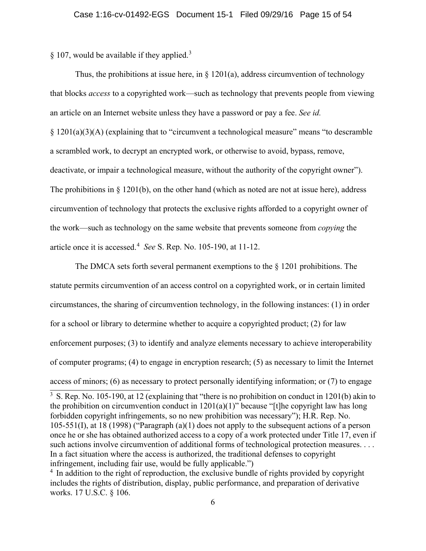$§$  107, would be available if they applied.<sup>3</sup>

Thus, the prohibitions at issue here, in  $\S$  1201(a), address circumvention of technology that blocks *access* to a copyrighted work—such as technology that prevents people from viewing an article on an Internet website unless they have a password or pay a fee. *See id.* § 1201(a)(3)(A) (explaining that to "circumvent a technological measure" means "to descramble a scrambled work, to decrypt an encrypted work, or otherwise to avoid, bypass, remove, deactivate, or impair a technological measure, without the authority of the copyright owner"). The prohibitions in  $\S$  1201(b), on the other hand (which as noted are not at issue here), address circumvention of technology that protects the exclusive rights afforded to a copyright owner of the work—such as technology on the same website that prevents someone from *copying* the article once it is accessed.<sup>4</sup> *See* S. Rep. No. 105-190, at 11-12.

The DMCA sets forth several permanent exemptions to the § 1201 prohibitions. The statute permits circumvention of an access control on a copyrighted work, or in certain limited circumstances, the sharing of circumvention technology, in the following instances: (1) in order for a school or library to determine whether to acquire a copyrighted product; (2) for law enforcement purposes; (3) to identify and analyze elements necessary to achieve interoperability of computer programs; (4) to engage in encryption research; (5) as necessary to limit the Internet access of minors; (6) as necessary to protect personally identifying information; or (7) to engage

<sup>&</sup>lt;sup>3</sup> S. Rep. No. 105-190, at 12 (explaining that "there is no prohibition on conduct in 1201(b) akin to the prohibition on circumvention conduct in  $1201(a)(1)$ " because "[t]he copyright law has long forbidden copyright infringements, so no new prohibition was necessary"); H.R. Rep. No. 105-551(I), at 18 (1998) ("Paragraph (a)(1) does not apply to the subsequent actions of a person once he or she has obtained authorized access to a copy of a work protected under Title 17, even if such actions involve circumvention of additional forms of technological protection measures. . . . In a fact situation where the access is authorized, the traditional defenses to copyright infringement, including fair use, would be fully applicable.")

<sup>&</sup>lt;sup>4</sup> In addition to the right of reproduction, the exclusive bundle of rights provided by copyright includes the rights of distribution, display, public performance, and preparation of derivative works. 17 U.S.C. § 106.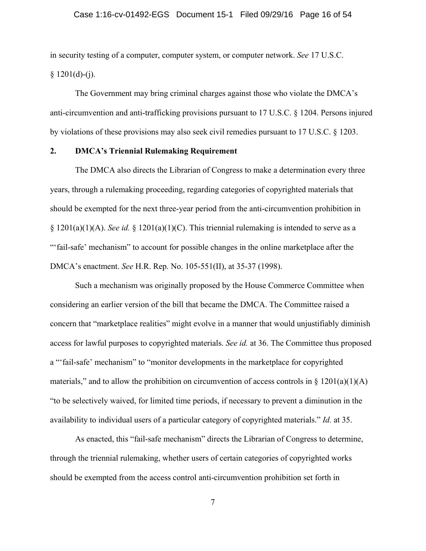### Case 1:16-cv-01492-EGS Document 15-1 Filed 09/29/16 Page 16 of 54

in security testing of a computer, computer system, or computer network. *See* 17 U.S.C.  $§ 1201(d)-(j).$ 

The Government may bring criminal charges against those who violate the DMCA's anti-circumvention and anti-trafficking provisions pursuant to 17 U.S.C. § 1204. Persons injured by violations of these provisions may also seek civil remedies pursuant to 17 U.S.C. § 1203.

### **2. DMCA's Triennial Rulemaking Requirement**

The DMCA also directs the Librarian of Congress to make a determination every three years, through a rulemaking proceeding, regarding categories of copyrighted materials that should be exempted for the next three-year period from the anti-circumvention prohibition in  $\S 1201(a)(1)(A)$ . *See id.*  $\S 1201(a)(1)(C)$ . This triennial rulemaking is intended to serve as a "'fail-safe' mechanism" to account for possible changes in the online marketplace after the DMCA's enactment. *See* H.R. Rep. No. 105-551(II), at 35-37 (1998).

Such a mechanism was originally proposed by the House Commerce Committee when considering an earlier version of the bill that became the DMCA. The Committee raised a concern that "marketplace realities" might evolve in a manner that would unjustifiably diminish access for lawful purposes to copyrighted materials. *See id.* at 36. The Committee thus proposed a "'fail-safe' mechanism" to "monitor developments in the marketplace for copyrighted materials," and to allow the prohibition on circumvention of access controls in  $\S 1201(a)(1)(A)$ "to be selectively waived, for limited time periods, if necessary to prevent a diminution in the availability to individual users of a particular category of copyrighted materials." *Id.* at 35.

As enacted, this "fail-safe mechanism" directs the Librarian of Congress to determine, through the triennial rulemaking, whether users of certain categories of copyrighted works should be exempted from the access control anti-circumvention prohibition set forth in

7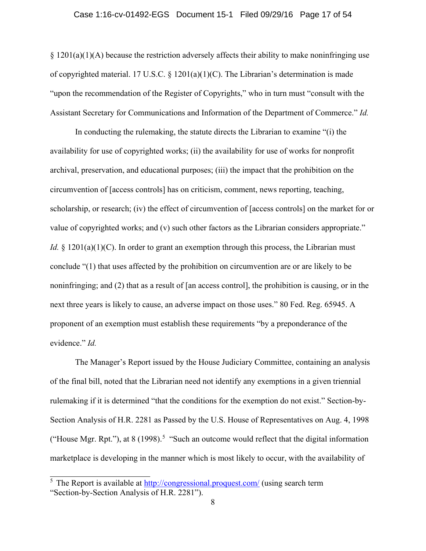### Case 1:16-cv-01492-EGS Document 15-1 Filed 09/29/16 Page 17 of 54

 $\S 1201(a)(1)(A)$  because the restriction adversely affects their ability to make noninfringing use of copyrighted material. 17 U.S.C. § 1201(a)(1)(C). The Librarian's determination is made "upon the recommendation of the Register of Copyrights," who in turn must "consult with the Assistant Secretary for Communications and Information of the Department of Commerce." *Id.* 

In conducting the rulemaking, the statute directs the Librarian to examine "(i) the availability for use of copyrighted works; (ii) the availability for use of works for nonprofit archival, preservation, and educational purposes; (iii) the impact that the prohibition on the circumvention of [access controls] has on criticism, comment, news reporting, teaching, scholarship, or research; (iv) the effect of circumvention of [access controls] on the market for or value of copyrighted works; and (v) such other factors as the Librarian considers appropriate." *Id.* § 1201(a)(1)(C). In order to grant an exemption through this process, the Librarian must conclude "(1) that uses affected by the prohibition on circumvention are or are likely to be noninfringing; and (2) that as a result of [an access control], the prohibition is causing, or in the next three years is likely to cause, an adverse impact on those uses." 80 Fed. Reg. 65945. A proponent of an exemption must establish these requirements "by a preponderance of the evidence." *Id.*

The Manager's Report issued by the House Judiciary Committee, containing an analysis of the final bill, noted that the Librarian need not identify any exemptions in a given triennial rulemaking if it is determined "that the conditions for the exemption do not exist." Section-by-Section Analysis of H.R. 2281 as Passed by the U.S. House of Representatives on Aug. 4, 1998 ("House Mgr. Rpt."), at 8 (1998).<sup>5</sup> "Such an outcome would reflect that the digital information marketplace is developing in the manner which is most likely to occur, with the availability of

 $\frac{5}{5}$  The Report is available at  $\frac{http://congressional.proquest.com/}{http://congressional.proquest.com/}$  (using search term "Section-by-Section Analysis of H.R. 2281").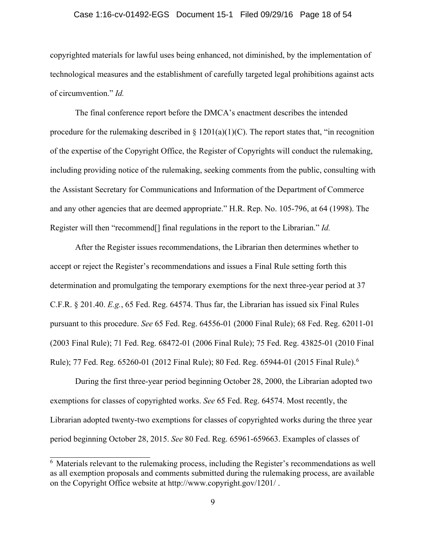### Case 1:16-cv-01492-EGS Document 15-1 Filed 09/29/16 Page 18 of 54

copyrighted materials for lawful uses being enhanced, not diminished, by the implementation of technological measures and the establishment of carefully targeted legal prohibitions against acts of circumvention." *Id.*

The final conference report before the DMCA's enactment describes the intended procedure for the rulemaking described in  $\S 1201(a)(1)(C)$ . The report states that, "in recognition of the expertise of the Copyright Office, the Register of Copyrights will conduct the rulemaking, including providing notice of the rulemaking, seeking comments from the public, consulting with the Assistant Secretary for Communications and Information of the Department of Commerce and any other agencies that are deemed appropriate." H.R. Rep. No. 105-796, at 64 (1998). The Register will then "recommend[] final regulations in the report to the Librarian." *Id.*

After the Register issues recommendations, the Librarian then determines whether to accept or reject the Register's recommendations and issues a Final Rule setting forth this determination and promulgating the temporary exemptions for the next three-year period at 37 C.F.R. § 201.40. *E.g.*, 65 Fed. Reg. 64574. Thus far, the Librarian has issued six Final Rules pursuant to this procedure. *See* 65 Fed. Reg. 64556-01 (2000 Final Rule); 68 Fed. Reg. 62011-01 (2003 Final Rule); 71 Fed. Reg. 68472-01 (2006 Final Rule); 75 Fed. Reg. 43825-01 (2010 Final Rule); 77 Fed. Reg. 65260-01 (2012 Final Rule); 80 Fed. Reg. 65944-01 (2015 Final Rule).<sup>6</sup>

During the first three-year period beginning October 28, 2000, the Librarian adopted two exemptions for classes of copyrighted works. *See* 65 Fed. Reg. 64574. Most recently, the Librarian adopted twenty-two exemptions for classes of copyrighted works during the three year period beginning October 28, 2015. *See* 80 Fed. Reg. 65961-659663. Examples of classes of

 $\overline{6}$  Materials relevant to the rulemaking process, including the Register's recommendations as well as all exemption proposals and comments submitted during the rulemaking process, are available on the Copyright Office website at http://www.copyright.gov/1201/ .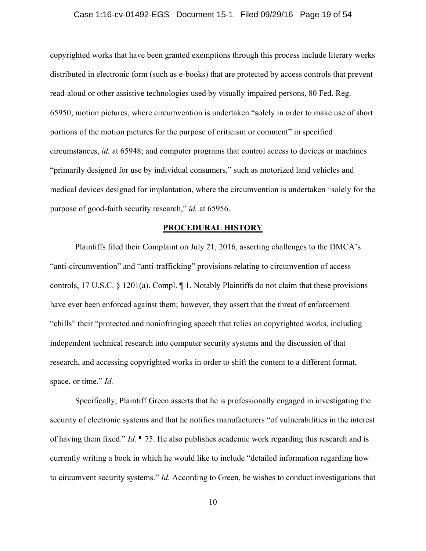### Case 1:16-cv-01492-EGS Document 15-1 Filed 09/29/16 Page 19 of 54

copyrighted works that have been granted exemptions through this process include literary works distributed in electronic form (such as e-books) that are protected by access controls that prevent read-aloud or other assistive technologies used by visually impaired persons, 80 Fed. Reg. 65950; motion pictures, where circumvention is undertaken "solely in order to make use of short portions of the motion pictures for the purpose of criticism or comment" in specified circumstances, *id.* at 65948; and computer programs that control access to devices or machines "primarily designed for use by individual consumers," such as motorized land vehicles and medical devices designed for implantation, where the circumvention is undertaken "solely for the purpose of good-faith security research," *id.* at 65956.

### **PROCEDURAL HISTORY**

Plaintiffs filed their Complaint on July 21, 2016, asserting challenges to the DMCA's "anti-circumvention" and "anti-trafficking" provisions relating to circumvention of access controls, 17 U.S.C. § 1201(a). Compl. ¶ 1. Notably Plaintiffs do not claim that these provisions have ever been enforced against them; however, they assert that the threat of enforcement "chills" their "protected and noninfringing speech that relies on copyrighted works, including independent technical research into computer security systems and the discussion of that research, and accessing copyrighted works in order to shift the content to a different format, space, or time." *Id.*

Specifically, Plaintiff Green asserts that he is professionally engaged in investigating the security of electronic systems and that he notifies manufacturers "of vulnerabilities in the interest of having them fixed." *Id.* ¶ 75. He also publishes academic work regarding this research and is currently writing a book in which he would like to include "detailed information regarding how to circumvent security systems." *Id.* According to Green, he wishes to conduct investigations that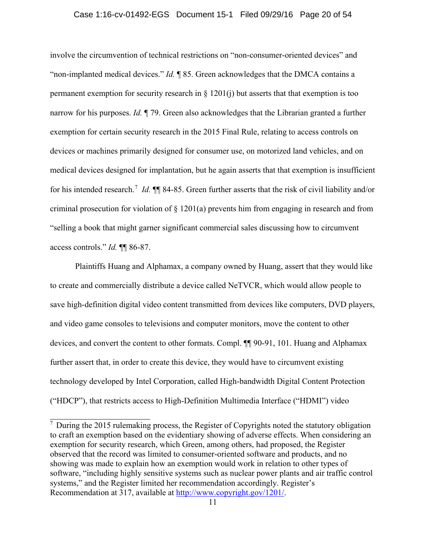### Case 1:16-cv-01492-EGS Document 15-1 Filed 09/29/16 Page 20 of 54

involve the circumvention of technical restrictions on "non-consumer-oriented devices" and "non-implanted medical devices." *Id.* ¶ 85. Green acknowledges that the DMCA contains a permanent exemption for security research in  $\S$  1201(j) but asserts that that exemption is too narrow for his purposes. *Id.* ¶ 79. Green also acknowledges that the Librarian granted a further exemption for certain security research in the 2015 Final Rule, relating to access controls on devices or machines primarily designed for consumer use, on motorized land vehicles, and on medical devices designed for implantation, but he again asserts that that exemption is insufficient for his intended research. <sup>7</sup> *Id.* ¶¶ 84-85. Green further asserts that the risk of civil liability and/or criminal prosecution for violation of § 1201(a) prevents him from engaging in research and from "selling a book that might garner significant commercial sales discussing how to circumvent access controls." *Id.* ¶¶ 86-87.

Plaintiffs Huang and Alphamax, a company owned by Huang, assert that they would like to create and commercially distribute a device called NeTVCR, which would allow people to save high-definition digital video content transmitted from devices like computers, DVD players, and video game consoles to televisions and computer monitors, move the content to other devices, and convert the content to other formats. Compl. ¶¶ 90-91, 101. Huang and Alphamax further assert that, in order to create this device, they would have to circumvent existing technology developed by Intel Corporation, called High-bandwidth Digital Content Protection ("HDCP"), that restricts access to High-Definition Multimedia Interface ("HDMI") video

 $\frac{7}{7}$  During the 2015 rulemaking process, the Register of Copyrights noted the statutory obligation to craft an exemption based on the evidentiary showing of adverse effects. When considering an exemption for security research, which Green, among others, had proposed, the Register observed that the record was limited to consumer-oriented software and products, and no showing was made to explain how an exemption would work in relation to other types of software, "including highly sensitive systems such as nuclear power plants and air traffic control systems," and the Register limited her recommendation accordingly. Register's Recommendation at 317, available at http://www.copyright.gov/1201/.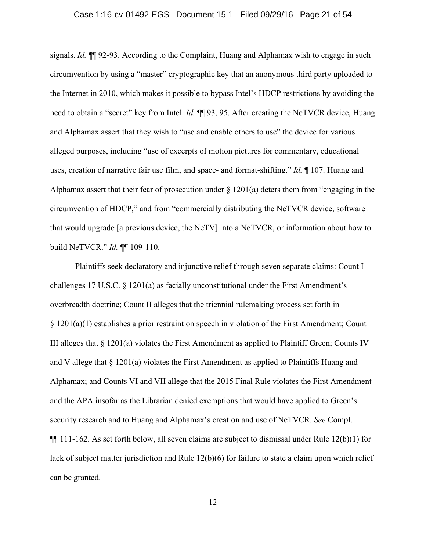### Case 1:16-cv-01492-EGS Document 15-1 Filed 09/29/16 Page 21 of 54

signals. *Id.* ¶¶ 92-93. According to the Complaint, Huang and Alphamax wish to engage in such circumvention by using a "master" cryptographic key that an anonymous third party uploaded to the Internet in 2010, which makes it possible to bypass Intel's HDCP restrictions by avoiding the need to obtain a "secret" key from Intel. *Id.* ¶¶ 93, 95. After creating the NeTVCR device, Huang and Alphamax assert that they wish to "use and enable others to use" the device for various alleged purposes, including "use of excerpts of motion pictures for commentary, educational uses, creation of narrative fair use film, and space- and format-shifting." *Id.* ¶ 107. Huang and Alphamax assert that their fear of prosecution under § 1201(a) deters them from "engaging in the circumvention of HDCP," and from "commercially distributing the NeTVCR device, software that would upgrade [a previous device, the NeTV] into a NeTVCR, or information about how to build NeTVCR." *Id.* ¶¶ 109-110.

Plaintiffs seek declaratory and injunctive relief through seven separate claims: Count I challenges 17 U.S.C. § 1201(a) as facially unconstitutional under the First Amendment's overbreadth doctrine; Count II alleges that the triennial rulemaking process set forth in § 1201(a)(1) establishes a prior restraint on speech in violation of the First Amendment; Count III alleges that § 1201(a) violates the First Amendment as applied to Plaintiff Green; Counts IV and V allege that § 1201(a) violates the First Amendment as applied to Plaintiffs Huang and Alphamax; and Counts VI and VII allege that the 2015 Final Rule violates the First Amendment and the APA insofar as the Librarian denied exemptions that would have applied to Green's security research and to Huang and Alphamax's creation and use of NeTVCR. *See* Compl.  $\P$ [[ 111-162. As set forth below, all seven claims are subject to dismissal under Rule 12(b)(1) for lack of subject matter jurisdiction and Rule 12(b)(6) for failure to state a claim upon which relief can be granted.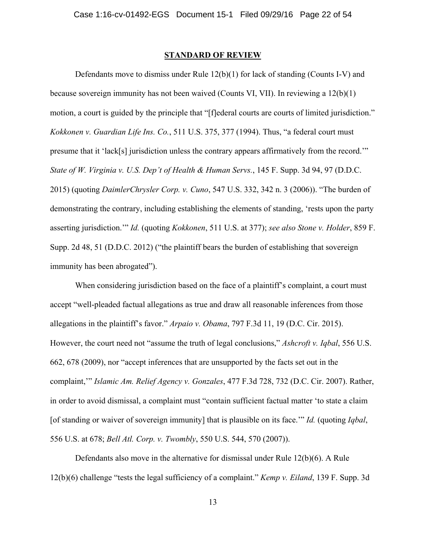### **STANDARD OF REVIEW**

Defendants move to dismiss under Rule 12(b)(1) for lack of standing (Counts I-V) and because sovereign immunity has not been waived (Counts VI, VII). In reviewing a 12(b)(1) motion, a court is guided by the principle that "[f]ederal courts are courts of limited jurisdiction." *Kokkonen v. Guardian Life Ins. Co.*, 511 U.S. 375, 377 (1994). Thus, "a federal court must presume that it 'lack[s] jurisdiction unless the contrary appears affirmatively from the record.'" *State of W. Virginia v. U.S. Dep't of Health & Human Servs.*, 145 F. Supp. 3d 94, 97 (D.D.C. 2015) (quoting *DaimlerChrysler Corp. v. Cuno*, 547 U.S. 332, 342 n. 3 (2006)). "The burden of demonstrating the contrary, including establishing the elements of standing, 'rests upon the party asserting jurisdiction.'" *Id.* (quoting *Kokkonen*, 511 U.S. at 377); *see also Stone v. Holder*, 859 F. Supp. 2d 48, 51 (D.D.C. 2012) ("the plaintiff bears the burden of establishing that sovereign immunity has been abrogated").

When considering jurisdiction based on the face of a plaintiff's complaint, a court must accept "well-pleaded factual allegations as true and draw all reasonable inferences from those allegations in the plaintiff's favor." *Arpaio v. Obama*, 797 F.3d 11, 19 (D.C. Cir. 2015). However, the court need not "assume the truth of legal conclusions," *Ashcroft v. Iqbal*, 556 U.S. 662, 678 (2009), nor "accept inferences that are unsupported by the facts set out in the complaint,'" *Islamic Am. Relief Agency v. Gonzales*, 477 F.3d 728, 732 (D.C. Cir. 2007). Rather, in order to avoid dismissal, a complaint must "contain sufficient factual matter 'to state a claim [of standing or waiver of sovereign immunity] that is plausible on its face.'" *Id.* (quoting *Iqbal*, 556 U.S. at 678; *Bell Atl. Corp. v. Twombly*, 550 U.S. 544, 570 (2007)).

Defendants also move in the alternative for dismissal under Rule 12(b)(6). A Rule 12(b)(6) challenge "tests the legal sufficiency of a complaint." *Kemp v. Eiland*, 139 F. Supp. 3d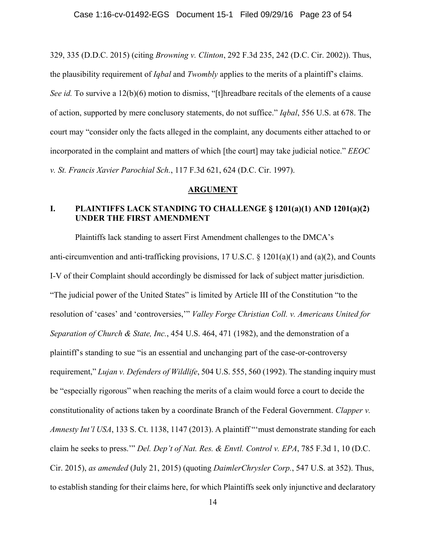329, 335 (D.D.C. 2015) (citing *Browning v. Clinton*, 292 F.3d 235, 242 (D.C. Cir. 2002)). Thus, the plausibility requirement of *Iqbal* and *Twombly* applies to the merits of a plaintiff's claims. *See id.* To survive a 12(b)(6) motion to dismiss, "[t]hreadbare recitals of the elements of a cause of action, supported by mere conclusory statements, do not suffice." *Iqbal*, 556 U.S. at 678. The court may "consider only the facts alleged in the complaint, any documents either attached to or incorporated in the complaint and matters of which [the court] may take judicial notice." *EEOC v. St. Francis Xavier Parochial Sch.*, 117 F.3d 621, 624 (D.C. Cir. 1997).

### **ARGUMENT**

### **I. PLAINTIFFS LACK STANDING TO CHALLENGE § 1201(a)(1) AND 1201(a)(2) UNDER THE FIRST AMENDMENT**

Plaintiffs lack standing to assert First Amendment challenges to the DMCA's anti-circumvention and anti-trafficking provisions, 17 U.S.C. § 1201(a)(1) and (a)(2), and Counts I-V of their Complaint should accordingly be dismissed for lack of subject matter jurisdiction. "The judicial power of the United States" is limited by Article III of the Constitution "to the resolution of 'cases' and 'controversies,'" *Valley Forge Christian Coll. v. Americans United for Separation of Church & State, Inc.*, 454 U.S. 464, 471 (1982), and the demonstration of a plaintiff's standing to sue "is an essential and unchanging part of the case-or-controversy requirement," *Lujan v. Defenders of Wildlife*, 504 U.S. 555, 560 (1992). The standing inquiry must be "especially rigorous" when reaching the merits of a claim would force a court to decide the constitutionality of actions taken by a coordinate Branch of the Federal Government. *Clapper v. Amnesty Int'l USA*, 133 S. Ct. 1138, 1147 (2013). A plaintiff "'must demonstrate standing for each claim he seeks to press.'" *Del. Dep't of Nat. Res. & Envtl. Control v. EPA*, 785 F.3d 1, 10 (D.C. Cir. 2015), *as amended* (July 21, 2015) (quoting *DaimlerChrysler Corp.*, 547 U.S. at 352). Thus, to establish standing for their claims here, for which Plaintiffs seek only injunctive and declaratory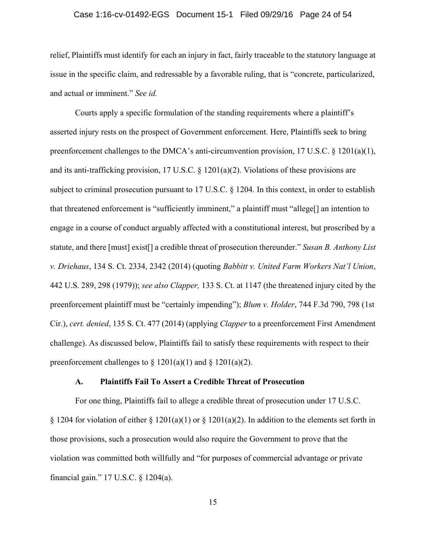### Case 1:16-cv-01492-EGS Document 15-1 Filed 09/29/16 Page 24 of 54

relief, Plaintiffs must identify for each an injury in fact, fairly traceable to the statutory language at issue in the specific claim, and redressable by a favorable ruling, that is "concrete, particularized, and actual or imminent." *See id.*

Courts apply a specific formulation of the standing requirements where a plaintiff's asserted injury rests on the prospect of Government enforcement. Here, Plaintiffs seek to bring preenforcement challenges to the DMCA's anti-circumvention provision, 17 U.S.C. § 1201(a)(1), and its anti-trafficking provision, 17 U.S.C. § 1201(a)(2). Violations of these provisions are subject to criminal prosecution pursuant to 17 U.S.C. § 1204. In this context, in order to establish that threatened enforcement is "sufficiently imminent," a plaintiff must "allege[] an intention to engage in a course of conduct arguably affected with a constitutional interest, but proscribed by a statute, and there [must] exist[] a credible threat of prosecution thereunder." *Susan B. Anthony List v. Driehaus*, 134 S. Ct. 2334, 2342 (2014) (quoting *Babbitt v. United Farm Workers Nat'l Union*, 442 U.S. 289, 298 (1979)); *see also Clapper,* 133 S. Ct. at 1147 (the threatened injury cited by the preenforcement plaintiff must be "certainly impending"); *Blum v. Holder*, 744 F.3d 790, 798 (1st Cir.), *cert. denied*, 135 S. Ct. 477 (2014) (applying *Clapper* to a preenforcement First Amendment challenge). As discussed below, Plaintiffs fail to satisfy these requirements with respect to their preenforcement challenges to  $\S 1201(a)(1)$  and  $\S 1201(a)(2)$ .

### **A. Plaintiffs Fail To Assert a Credible Threat of Prosecution**

For one thing, Plaintiffs fail to allege a credible threat of prosecution under 17 U.S.C. § 1204 for violation of either § 1201(a)(1) or § 1201(a)(2). In addition to the elements set forth in those provisions, such a prosecution would also require the Government to prove that the violation was committed both willfully and "for purposes of commercial advantage or private financial gain." 17 U.S.C. § 1204(a).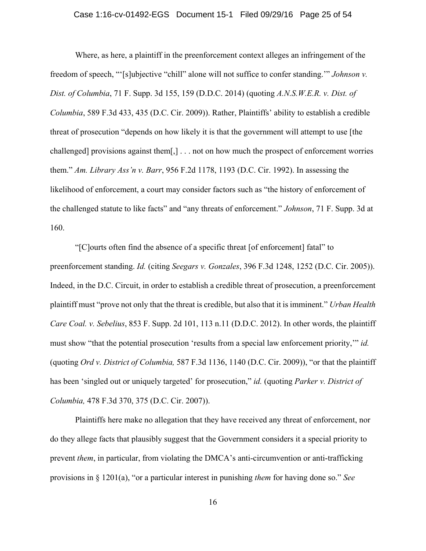### Case 1:16-cv-01492-EGS Document 15-1 Filed 09/29/16 Page 25 of 54

Where, as here, a plaintiff in the preenforcement context alleges an infringement of the freedom of speech, "'[s]ubjective "chill" alone will not suffice to confer standing.'" *Johnson v. Dist. of Columbia*, 71 F. Supp. 3d 155, 159 (D.D.C. 2014) (quoting *A.N.S.W.E.R. v. Dist. of Columbia*, 589 F.3d 433, 435 (D.C. Cir. 2009)). Rather, Plaintiffs' ability to establish a credible threat of prosecution "depends on how likely it is that the government will attempt to use [the challenged] provisions against them[,] . . . not on how much the prospect of enforcement worries them." *Am. Library Ass'n v. Barr*, 956 F.2d 1178, 1193 (D.C. Cir. 1992). In assessing the likelihood of enforcement, a court may consider factors such as "the history of enforcement of the challenged statute to like facts" and "any threats of enforcement." *Johnson*, 71 F. Supp. 3d at 160.

"[C]ourts often find the absence of a specific threat [of enforcement] fatal" to preenforcement standing. *Id.* (citing *Seegars v. Gonzales*, 396 F.3d 1248, 1252 (D.C. Cir. 2005)). Indeed, in the D.C. Circuit, in order to establish a credible threat of prosecution, a preenforcement plaintiff must "prove not only that the threat is credible, but also that it is imminent." *Urban Health Care Coal. v. Sebelius*, 853 F. Supp. 2d 101, 113 n.11 (D.D.C. 2012). In other words, the plaintiff must show "that the potential prosecution 'results from a special law enforcement priority,'" *id.* (quoting *Ord v. District of Columbia,* 587 F.3d 1136, 1140 (D.C. Cir. 2009)), "or that the plaintiff has been 'singled out or uniquely targeted' for prosecution," *id.* (quoting *Parker v. District of Columbia,* 478 F.3d 370, 375 (D.C. Cir. 2007)).

Plaintiffs here make no allegation that they have received any threat of enforcement, nor do they allege facts that plausibly suggest that the Government considers it a special priority to prevent *them*, in particular, from violating the DMCA's anti-circumvention or anti-trafficking provisions in § 1201(a), "or a particular interest in punishing *them* for having done so." *See*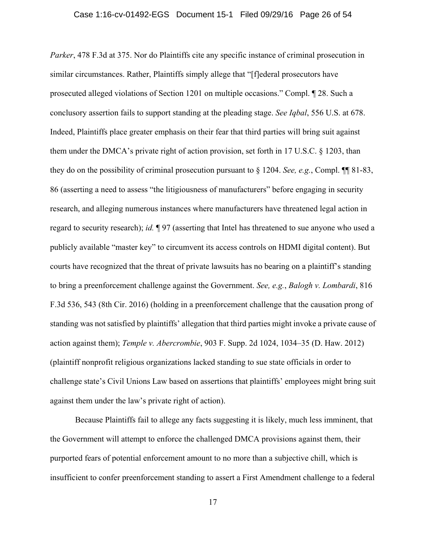*Parker*, 478 F.3d at 375. Nor do Plaintiffs cite any specific instance of criminal prosecution in similar circumstances. Rather, Plaintiffs simply allege that "[f]ederal prosecutors have prosecuted alleged violations of Section 1201 on multiple occasions." Compl. ¶ 28. Such a conclusory assertion fails to support standing at the pleading stage. *See Iqbal*, 556 U.S. at 678. Indeed, Plaintiffs place greater emphasis on their fear that third parties will bring suit against them under the DMCA's private right of action provision, set forth in 17 U.S.C. § 1203, than they do on the possibility of criminal prosecution pursuant to § 1204. *See, e.g.*, Compl. ¶¶ 81-83, 86 (asserting a need to assess "the litigiousness of manufacturers" before engaging in security research, and alleging numerous instances where manufacturers have threatened legal action in regard to security research); *id.* ¶ 97 (asserting that Intel has threatened to sue anyone who used a publicly available "master key" to circumvent its access controls on HDMI digital content). But courts have recognized that the threat of private lawsuits has no bearing on a plaintiff's standing to bring a preenforcement challenge against the Government. *See, e.g.*, *Balogh v. Lombardi*, 816 F.3d 536, 543 (8th Cir. 2016) (holding in a preenforcement challenge that the causation prong of standing was not satisfied by plaintiffs' allegation that third parties might invoke a private cause of action against them); *Temple v. Abercrombie*, 903 F. Supp. 2d 1024, 1034–35 (D. Haw. 2012) (plaintiff nonprofit religious organizations lacked standing to sue state officials in order to challenge state's Civil Unions Law based on assertions that plaintiffs' employees might bring suit against them under the law's private right of action).

Because Plaintiffs fail to allege any facts suggesting it is likely, much less imminent, that the Government will attempt to enforce the challenged DMCA provisions against them, their purported fears of potential enforcement amount to no more than a subjective chill, which is insufficient to confer preenforcement standing to assert a First Amendment challenge to a federal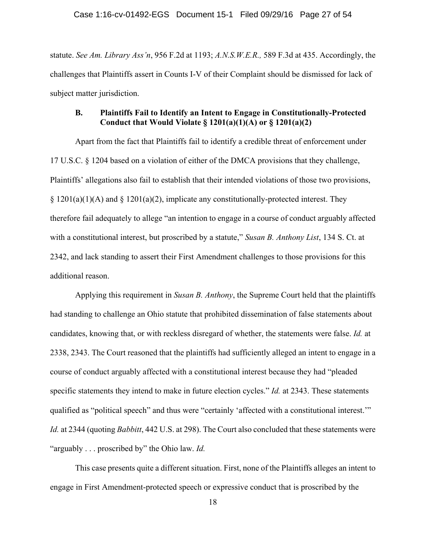statute. *See Am. Library Ass'n*, 956 F.2d at 1193; *A.N.S.W.E.R.,* 589 F.3d at 435. Accordingly, the challenges that Plaintiffs assert in Counts I-V of their Complaint should be dismissed for lack of subject matter jurisdiction.

### **B. Plaintiffs Fail to Identify an Intent to Engage in Constitutionally-Protected Conduct that Would Violate § 1201(a)(1)(A) or § 1201(a)(2)**

Apart from the fact that Plaintiffs fail to identify a credible threat of enforcement under 17 U.S.C. § 1204 based on a violation of either of the DMCA provisions that they challenge, Plaintiffs' allegations also fail to establish that their intended violations of those two provisions,  $\S$  1201(a)(1)(A) and  $\S$  1201(a)(2), implicate any constitutionally-protected interest. They therefore fail adequately to allege "an intention to engage in a course of conduct arguably affected with a constitutional interest, but proscribed by a statute," *Susan B. Anthony List*, 134 S. Ct. at 2342, and lack standing to assert their First Amendment challenges to those provisions for this additional reason.

Applying this requirement in *Susan B. Anthony*, the Supreme Court held that the plaintiffs had standing to challenge an Ohio statute that prohibited dissemination of false statements about candidates, knowing that, or with reckless disregard of whether, the statements were false. *Id.* at 2338, 2343. The Court reasoned that the plaintiffs had sufficiently alleged an intent to engage in a course of conduct arguably affected with a constitutional interest because they had "pleaded specific statements they intend to make in future election cycles." *Id.* at 2343. These statements qualified as "political speech" and thus were "certainly 'affected with a constitutional interest.'" *Id.* at 2344 (quoting *Babbitt*, 442 U.S. at 298). The Court also concluded that these statements were "arguably . . . proscribed by" the Ohio law. *Id.*

This case presents quite a different situation. First, none of the Plaintiffs alleges an intent to engage in First Amendment-protected speech or expressive conduct that is proscribed by the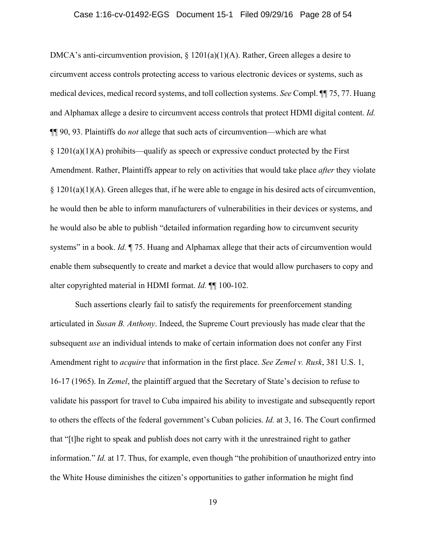### Case 1:16-cv-01492-EGS Document 15-1 Filed 09/29/16 Page 28 of 54

DMCA's anti-circumvention provision,  $\S 1201(a)(1)(A)$ . Rather, Green alleges a desire to circumvent access controls protecting access to various electronic devices or systems, such as medical devices, medical record systems, and toll collection systems. *See* Compl. ¶¶ 75, 77. Huang and Alphamax allege a desire to circumvent access controls that protect HDMI digital content. *Id.*  ¶¶ 90, 93. Plaintiffs do *not* allege that such acts of circumvention—which are what  $§ 1201(a)(1)(A)$  prohibits—qualify as speech or expressive conduct protected by the First Amendment. Rather, Plaintiffs appear to rely on activities that would take place *after* they violate § 1201(a)(1)(A). Green alleges that, if he were able to engage in his desired acts of circumvention, he would then be able to inform manufacturers of vulnerabilities in their devices or systems, and he would also be able to publish "detailed information regarding how to circumvent security systems" in a book. *Id.* ¶ 75. Huang and Alphamax allege that their acts of circumvention would enable them subsequently to create and market a device that would allow purchasers to copy and alter copyrighted material in HDMI format. *Id.* ¶¶ 100-102.

Such assertions clearly fail to satisfy the requirements for preenforcement standing articulated in *Susan B. Anthony*. Indeed, the Supreme Court previously has made clear that the subsequent *use* an individual intends to make of certain information does not confer any First Amendment right to *acquire* that information in the first place. *See Zemel v. Rusk*, 381 U.S. 1, 16-17 (1965). In *Zemel*, the plaintiff argued that the Secretary of State's decision to refuse to validate his passport for travel to Cuba impaired his ability to investigate and subsequently report to others the effects of the federal government's Cuban policies. *Id.* at 3, 16. The Court confirmed that "[t]he right to speak and publish does not carry with it the unrestrained right to gather information." *Id.* at 17. Thus, for example, even though "the prohibition of unauthorized entry into the White House diminishes the citizen's opportunities to gather information he might find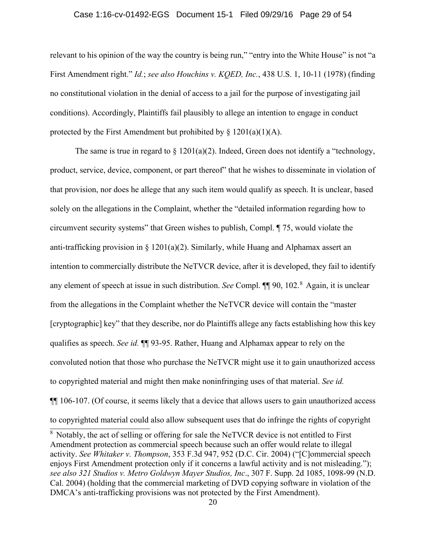#### Case 1:16-cv-01492-EGS Document 15-1 Filed 09/29/16 Page 29 of 54

relevant to his opinion of the way the country is being run," "entry into the White House" is not "a First Amendment right." *Id.*; *see also Houchins v. KQED, Inc.*, 438 U.S. 1, 10-11 (1978) (finding no constitutional violation in the denial of access to a jail for the purpose of investigating jail conditions). Accordingly, Plaintiffs fail plausibly to allege an intention to engage in conduct protected by the First Amendment but prohibited by  $\S$  1201(a)(1)(A).

The same is true in regard to  $\S 1201(a)(2)$ . Indeed, Green does not identify a "technology, product, service, device, component, or part thereof" that he wishes to disseminate in violation of that provision, nor does he allege that any such item would qualify as speech. It is unclear, based solely on the allegations in the Complaint, whether the "detailed information regarding how to circumvent security systems" that Green wishes to publish, Compl. ¶ 75, would violate the anti-trafficking provision in  $\S 1201(a)(2)$ . Similarly, while Huang and Alphamax assert an intention to commercially distribute the NeTVCR device, after it is developed, they fail to identify any element of speech at issue in such distribution. *See* Compl. ¶¶ 90, 102.<sup>8</sup> Again, it is unclear from the allegations in the Complaint whether the NeTVCR device will contain the "master [cryptographic] key" that they describe, nor do Plaintiffs allege any facts establishing how this key qualifies as speech. *See id.* ¶¶ 93-95. Rather, Huang and Alphamax appear to rely on the convoluted notion that those who purchase the NeTVCR might use it to gain unauthorized access to copyrighted material and might then make noninfringing uses of that material. *See id.* ¶¶ 106-107. (Of course, it seems likely that a device that allows users to gain unauthorized access to copyrighted material could also allow subsequent uses that do infringe the rights of copyright

<sup>8</sup> Notably, the act of selling or offering for sale the NeTVCR device is not entitled to First Amendment protection as commercial speech because such an offer would relate to illegal activity. *See Whitaker v. Thompson*, 353 F.3d 947, 952 (D.C. Cir. 2004) ("[C]ommercial speech enjoys First Amendment protection only if it concerns a lawful activity and is not misleading."); *see also 321 Studios v. Metro Goldwyn Mayer Studios, Inc*., 307 F. Supp. 2d 1085, 1098-99 (N.D. Cal. 2004) (holding that the commercial marketing of DVD copying software in violation of the DMCA's anti-trafficking provisions was not protected by the First Amendment).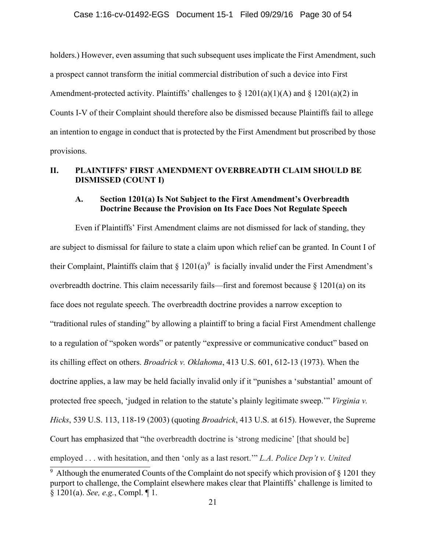holders.) However, even assuming that such subsequent uses implicate the First Amendment, such a prospect cannot transform the initial commercial distribution of such a device into First Amendment-protected activity. Plaintiffs' challenges to  $\S$  1201(a)(1)(A) and  $\S$  1201(a)(2) in Counts I-V of their Complaint should therefore also be dismissed because Plaintiffs fail to allege an intention to engage in conduct that is protected by the First Amendment but proscribed by those provisions.

### **II. PLAINTIFFS' FIRST AMENDMENT OVERBREADTH CLAIM SHOULD BE DISMISSED (COUNT I)**

### **A. Section 1201(a) Is Not Subject to the First Amendment's Overbreadth Doctrine Because the Provision on Its Face Does Not Regulate Speech**

Even if Plaintiffs' First Amendment claims are not dismissed for lack of standing, they are subject to dismissal for failure to state a claim upon which relief can be granted. In Count I of their Complaint, Plaintiffs claim that  $\S 1201(a)^9$  is facially invalid under the First Amendment's overbreadth doctrine. This claim necessarily fails—first and foremost because § 1201(a) on its face does not regulate speech. The overbreadth doctrine provides a narrow exception to "traditional rules of standing" by allowing a plaintiff to bring a facial First Amendment challenge to a regulation of "spoken words" or patently "expressive or communicative conduct" based on its chilling effect on others. *Broadrick v. Oklahoma*, 413 U.S. 601, 612-13 (1973). When the doctrine applies, a law may be held facially invalid only if it "punishes a 'substantial' amount of protected free speech, 'judged in relation to the statute's plainly legitimate sweep.'" *Virginia v. Hicks*, 539 U.S. 113, 118-19 (2003) (quoting *Broadrick*, 413 U.S. at 615). However, the Supreme Court has emphasized that "the overbreadth doctrine is 'strong medicine' [that should be] employed . . . with hesitation, and then 'only as a last resort.'" *L.A. Police Dep't v. United* 

<sup>&</sup>lt;sup>9</sup> Although the enumerated Counts of the Complaint do not specify which provision of  $\S$  1201 they purport to challenge, the Complaint elsewhere makes clear that Plaintiffs' challenge is limited to § 1201(a). *See, e.g.*, Compl. ¶ 1.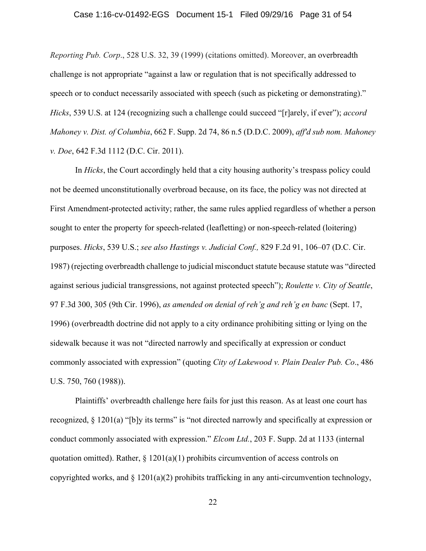### Case 1:16-cv-01492-EGS Document 15-1 Filed 09/29/16 Page 31 of 54

*Reporting Pub. Corp*., 528 U.S. 32, 39 (1999) (citations omitted). Moreover, an overbreadth challenge is not appropriate "against a law or regulation that is not specifically addressed to speech or to conduct necessarily associated with speech (such as picketing or demonstrating)." *Hicks*, 539 U.S. at 124 (recognizing such a challenge could succeed "[r]arely, if ever"); *accord Mahoney v. Dist. of Columbia*, 662 F. Supp. 2d 74, 86 n.5 (D.D.C. 2009), *aff'd sub nom. Mahoney v. Doe*, 642 F.3d 1112 (D.C. Cir. 2011).

In *Hicks*, the Court accordingly held that a city housing authority's trespass policy could not be deemed unconstitutionally overbroad because, on its face, the policy was not directed at First Amendment-protected activity; rather, the same rules applied regardless of whether a person sought to enter the property for speech-related (leafletting) or non-speech-related (loitering) purposes. *Hicks*, 539 U.S.; *see also Hastings v. Judicial Conf.,* 829 F.2d 91, 106–07 (D.C. Cir. 1987) (rejecting overbreadth challenge to judicial misconduct statute because statute was "directed against serious judicial transgressions, not against protected speech"); *Roulette v. City of Seattle*, 97 F.3d 300, 305 (9th Cir. 1996), *as amended on denial of reh'g and reh'g en banc* (Sept. 17, 1996) (overbreadth doctrine did not apply to a city ordinance prohibiting sitting or lying on the sidewalk because it was not "directed narrowly and specifically at expression or conduct commonly associated with expression" (quoting *City of Lakewood v. Plain Dealer Pub. Co*., 486 U.S. 750, 760 (1988)).

Plaintiffs' overbreadth challenge here fails for just this reason. As at least one court has recognized, § 1201(a) "[b]y its terms" is "not directed narrowly and specifically at expression or conduct commonly associated with expression." *Elcom Ltd.*, 203 F. Supp. 2d at 1133 (internal quotation omitted). Rather,  $\S$  1201(a)(1) prohibits circumvention of access controls on copyrighted works, and  $\S 1201(a)(2)$  prohibits trafficking in any anti-circumvention technology,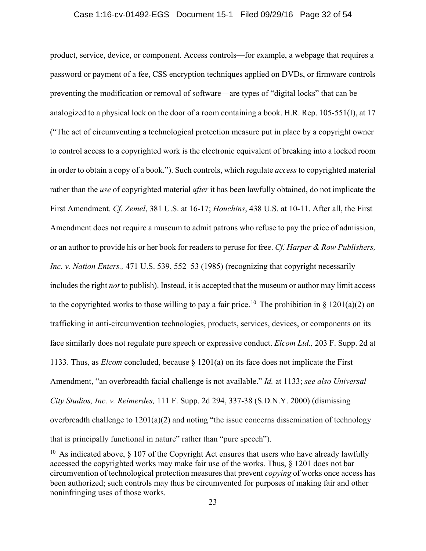#### Case 1:16-cv-01492-EGS Document 15-1 Filed 09/29/16 Page 32 of 54

product, service, device, or component. Access controls—for example, a webpage that requires a password or payment of a fee, CSS encryption techniques applied on DVDs, or firmware controls preventing the modification or removal of software—are types of "digital locks" that can be analogized to a physical lock on the door of a room containing a book. H.R. Rep. 105-551(I), at 17 ("The act of circumventing a technological protection measure put in place by a copyright owner to control access to a copyrighted work is the electronic equivalent of breaking into a locked room in order to obtain a copy of a book."). Such controls, which regulate *access* to copyrighted material rather than the *use* of copyrighted material *after* it has been lawfully obtained, do not implicate the First Amendment. *Cf. Zemel*, 381 U.S. at 16-17; *Houchins*, 438 U.S. at 10-11. After all, the First Amendment does not require a museum to admit patrons who refuse to pay the price of admission, or an author to provide his or her book for readers to peruse for free. *Cf. Harper & Row Publishers, Inc. v. Nation Enters.,* 471 U.S. 539, 552–53 (1985) (recognizing that copyright necessarily includes the right *not* to publish). Instead, it is accepted that the museum or author may limit access to the copyrighted works to those willing to pay a fair price.<sup>10</sup> The prohibition in § 1201(a)(2) on trafficking in anti-circumvention technologies, products, services, devices, or components on its face similarly does not regulate pure speech or expressive conduct. *Elcom Ltd.,* 203 F. Supp. 2d at 1133. Thus, as *Elcom* concluded, because § 1201(a) on its face does not implicate the First Amendment, "an overbreadth facial challenge is not available." *Id.* at 1133; *see also Universal City Studios, Inc. v. Reimerdes,* 111 F. Supp. 2d 294, 337-38 (S.D.N.Y. 2000) (dismissing overbreadth challenge to 1201(a)(2) and noting "the issue concerns dissemination of technology that is principally functional in nature" rather than "pure speech").

<sup>&</sup>lt;sup>10</sup> As indicated above,  $\S$  107 of the Copyright Act ensures that users who have already lawfully accessed the copyrighted works may make fair use of the works. Thus, § 1201 does not bar circumvention of technological protection measures that prevent *copying* of works once access has been authorized; such controls may thus be circumvented for purposes of making fair and other noninfringing uses of those works.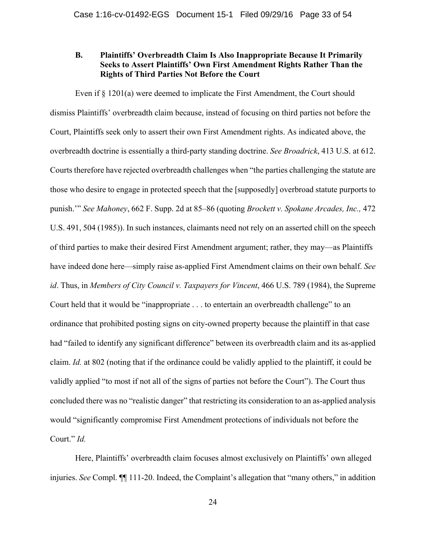### **B. Plaintiffs' Overbreadth Claim Is Also Inappropriate Because It Primarily Seeks to Assert Plaintiffs' Own First Amendment Rights Rather Than the Rights of Third Parties Not Before the Court**

Even if  $\S$  1201(a) were deemed to implicate the First Amendment, the Court should dismiss Plaintiffs' overbreadth claim because, instead of focusing on third parties not before the Court, Plaintiffs seek only to assert their own First Amendment rights. As indicated above, the overbreadth doctrine is essentially a third-party standing doctrine. *See Broadrick*, 413 U.S. at 612. Courts therefore have rejected overbreadth challenges when "the parties challenging the statute are those who desire to engage in protected speech that the [supposedly] overbroad statute purports to punish.'" *See Mahoney*, 662 F. Supp. 2d at 85–86 (quoting *Brockett v. Spokane Arcades, Inc.,* 472 U.S. 491, 504 (1985)). In such instances, claimants need not rely on an asserted chill on the speech of third parties to make their desired First Amendment argument; rather, they may—as Plaintiffs have indeed done here—simply raise as-applied First Amendment claims on their own behalf. *See id*. Thus, in *Members of City Council v. Taxpayers for Vincent*, 466 U.S. 789 (1984), the Supreme Court held that it would be "inappropriate . . . to entertain an overbreadth challenge" to an ordinance that prohibited posting signs on city-owned property because the plaintiff in that case had "failed to identify any significant difference" between its overbreadth claim and its as-applied claim. *Id.* at 802 (noting that if the ordinance could be validly applied to the plaintiff, it could be validly applied "to most if not all of the signs of parties not before the Court"). The Court thus concluded there was no "realistic danger" that restricting its consideration to an as-applied analysis would "significantly compromise First Amendment protections of individuals not before the Court." *Id.*

Here, Plaintiffs' overbreadth claim focuses almost exclusively on Plaintiffs' own alleged injuries. *See* Compl. ¶¶ 111-20. Indeed, the Complaint's allegation that "many others," in addition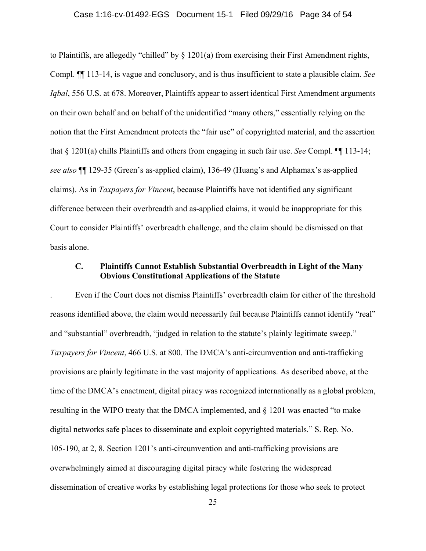### Case 1:16-cv-01492-EGS Document 15-1 Filed 09/29/16 Page 34 of 54

to Plaintiffs, are allegedly "chilled" by  $\S$  1201(a) from exercising their First Amendment rights, Compl. ¶¶ 113-14, is vague and conclusory, and is thus insufficient to state a plausible claim. *See Igbal*, 556 U.S. at 678. Moreover, Plaintiffs appear to assert identical First Amendment arguments on their own behalf and on behalf of the unidentified "many others," essentially relying on the notion that the First Amendment protects the "fair use" of copyrighted material, and the assertion that § 1201(a) chills Plaintiffs and others from engaging in such fair use. *See* Compl. ¶¶ 113-14; *see also* ¶¶ 129-35 (Green's as-applied claim), 136-49 (Huang's and Alphamax's as-applied claims). As in *Taxpayers for Vincent*, because Plaintiffs have not identified any significant difference between their overbreadth and as-applied claims, it would be inappropriate for this Court to consider Plaintiffs' overbreadth challenge, and the claim should be dismissed on that basis alone.

### **C. Plaintiffs Cannot Establish Substantial Overbreadth in Light of the Many Obvious Constitutional Applications of the Statute**

. Even if the Court does not dismiss Plaintiffs' overbreadth claim for either of the threshold reasons identified above, the claim would necessarily fail because Plaintiffs cannot identify "real" and "substantial" overbreadth, "judged in relation to the statute's plainly legitimate sweep." *Taxpayers for Vincent*, 466 U.S. at 800. The DMCA's anti-circumvention and anti-trafficking provisions are plainly legitimate in the vast majority of applications. As described above, at the time of the DMCA's enactment, digital piracy was recognized internationally as a global problem, resulting in the WIPO treaty that the DMCA implemented, and § 1201 was enacted "to make digital networks safe places to disseminate and exploit copyrighted materials." S. Rep. No. 105-190, at 2, 8. Section 1201's anti-circumvention and anti-trafficking provisions are overwhelmingly aimed at discouraging digital piracy while fostering the widespread dissemination of creative works by establishing legal protections for those who seek to protect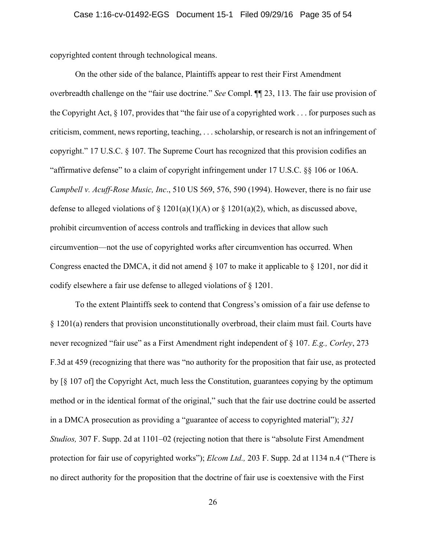copyrighted content through technological means.

On the other side of the balance, Plaintiffs appear to rest their First Amendment overbreadth challenge on the "fair use doctrine." *See* Compl. ¶¶ 23, 113. The fair use provision of the Copyright Act, § 107, provides that "the fair use of a copyrighted work . . . for purposes such as criticism, comment, news reporting, teaching, . . . scholarship, or research is not an infringement of copyright." 17 U.S.C. § 107. The Supreme Court has recognized that this provision codifies an "affirmative defense" to a claim of copyright infringement under 17 U.S.C. §§ 106 or 106A. *Campbell v. Acuff-Rose Music, Inc*., 510 US 569, 576, 590 (1994). However, there is no fair use defense to alleged violations of  $\S 1201(a)(1)(A)$  or  $\S 1201(a)(2)$ , which, as discussed above, prohibit circumvention of access controls and trafficking in devices that allow such circumvention—not the use of copyrighted works after circumvention has occurred. When Congress enacted the DMCA, it did not amend § 107 to make it applicable to § 1201, nor did it codify elsewhere a fair use defense to alleged violations of § 1201.

To the extent Plaintiffs seek to contend that Congress's omission of a fair use defense to § 1201(a) renders that provision unconstitutionally overbroad, their claim must fail. Courts have never recognized "fair use" as a First Amendment right independent of § 107. *E.g., Corley*, 273 F.3d at 459 (recognizing that there was "no authority for the proposition that fair use, as protected by [§ 107 of] the Copyright Act, much less the Constitution, guarantees copying by the optimum method or in the identical format of the original," such that the fair use doctrine could be asserted in a DMCA prosecution as providing a "guarantee of access to copyrighted material"); *321 Studios,* 307 F. Supp. 2d at 1101–02 (rejecting notion that there is "absolute First Amendment protection for fair use of copyrighted works"); *Elcom Ltd.,* 203 F. Supp. 2d at 1134 n.4 ("There is no direct authority for the proposition that the doctrine of fair use is coextensive with the First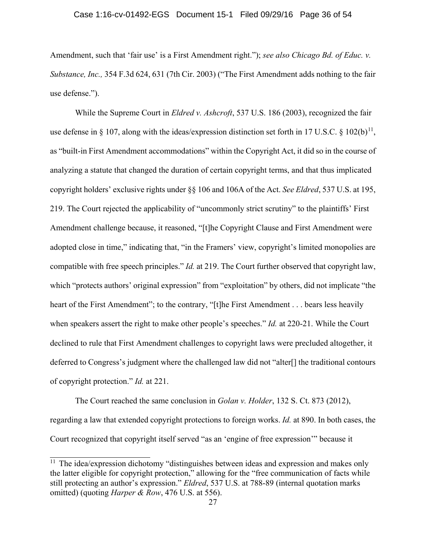### Case 1:16-cv-01492-EGS Document 15-1 Filed 09/29/16 Page 36 of 54

Amendment, such that 'fair use' is a First Amendment right."); *see also Chicago Bd. of Educ. v. Substance, Inc.,* 354 F.3d 624, 631 (7th Cir. 2003) ("The First Amendment adds nothing to the fair use defense.").

While the Supreme Court in *Eldred v. Ashcroft*, 537 U.S. 186 (2003), recognized the fair use defense in § 107, along with the ideas/expression distinction set forth in 17 U.S.C. § 102(b)<sup>11</sup>, as "built-in First Amendment accommodations" within the Copyright Act, it did so in the course of analyzing a statute that changed the duration of certain copyright terms, and that thus implicated copyright holders' exclusive rights under §§ 106 and 106A of the Act. *See Eldred*, 537 U.S. at 195, 219. The Court rejected the applicability of "uncommonly strict scrutiny" to the plaintiffs' First Amendment challenge because, it reasoned, "[t]he Copyright Clause and First Amendment were adopted close in time," indicating that, "in the Framers' view, copyright's limited monopolies are compatible with free speech principles." *Id.* at 219. The Court further observed that copyright law, which "protects authors' original expression" from "exploitation" by others, did not implicate "the heart of the First Amendment"; to the contrary, "[t]he First Amendment . . . bears less heavily when speakers assert the right to make other people's speeches." *Id.* at 220-21. While the Court declined to rule that First Amendment challenges to copyright laws were precluded altogether, it deferred to Congress's judgment where the challenged law did not "alter[] the traditional contours of copyright protection." *Id.* at 221.

The Court reached the same conclusion in *Golan v. Holder*, 132 S. Ct. 873 (2012), regarding a law that extended copyright protections to foreign works. *Id.* at 890. In both cases, the Court recognized that copyright itself served "as an 'engine of free expression'" because it

j

 $11$  The idea/expression dichotomy "distinguishes between ideas and expression and makes only the latter eligible for copyright protection," allowing for the "free communication of facts while still protecting an author's expression." *Eldred*, 537 U.S. at 788-89 (internal quotation marks omitted) (quoting *Harper & Row*, 476 U.S. at 556).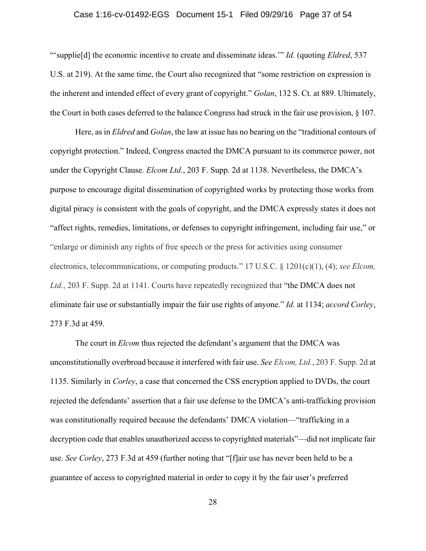### Case 1:16-cv-01492-EGS Document 15-1 Filed 09/29/16 Page 37 of 54

"'supplie[d] the economic incentive to create and disseminate ideas.'" *Id.* (quoting *Eldred*, 537 U.S. at 219). At the same time, the Court also recognized that "some restriction on expression is the inherent and intended effect of every grant of copyright." *Golan*, 132 S. Ct. at 889. Ultimately, the Court in both cases deferred to the balance Congress had struck in the fair use provision, § 107.

Here, as in *Eldred* and *Golan*, the law at issue has no bearing on the "traditional contours of copyright protection." Indeed, Congress enacted the DMCA pursuant to its commerce power, not under the Copyright Clause. *Elcom Ltd.*, 203 F. Supp. 2d at 1138. Nevertheless, the DMCA's purpose to encourage digital dissemination of copyrighted works by protecting those works from digital piracy is consistent with the goals of copyright, and the DMCA expressly states it does not "affect rights, remedies, limitations, or defenses to copyright infringement, including fair use," or "enlarge or diminish any rights of free speech or the press for activities using consumer electronics, telecommunications, or computing products." 17 U.S.C. § 1201(c)(1), (4); *see Elcom, Ltd.*, 203 F. Supp. 2d at 1141. Courts have repeatedly recognized that "the DMCA does not eliminate fair use or substantially impair the fair use rights of anyone." *Id.* at 1134; *accord Corley*, 273 F.3d at 459.

The court in *Elcom* thus rejected the defendant's argument that the DMCA was unconstitutionally overbroad because it interfered with fair use. *See Elcom, Ltd.*, 203 F. Supp. 2d at 1135. Similarly in *Corley*, a case that concerned the CSS encryption applied to DVDs, the court rejected the defendants' assertion that a fair use defense to the DMCA's anti-trafficking provision was constitutionally required because the defendants' DMCA violation—"trafficking in a decryption code that enables unauthorized access to copyrighted materials"—did not implicate fair use. *See Corley*, 273 F.3d at 459 (further noting that "[f]air use has never been held to be a guarantee of access to copyrighted material in order to copy it by the fair user's preferred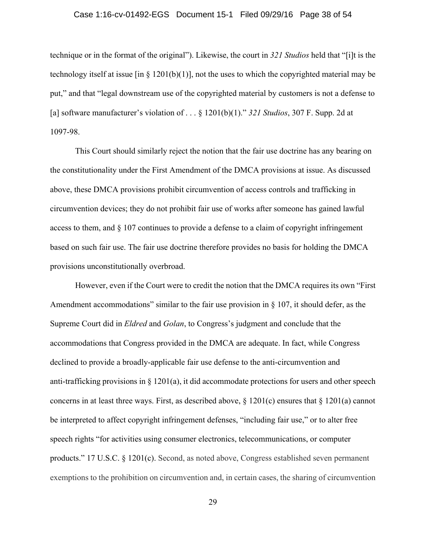### Case 1:16-cv-01492-EGS Document 15-1 Filed 09/29/16 Page 38 of 54

technique or in the format of the original"). Likewise, the court in *321 Studios* held that "[i]t is the technology itself at issue [in § 1201(b)(1)], not the uses to which the copyrighted material may be put," and that "legal downstream use of the copyrighted material by customers is not a defense to [a] software manufacturer's violation of . . . § 1201(b)(1)." *321 Studios*, 307 F. Supp. 2d at 1097-98.

This Court should similarly reject the notion that the fair use doctrine has any bearing on the constitutionality under the First Amendment of the DMCA provisions at issue. As discussed above, these DMCA provisions prohibit circumvention of access controls and trafficking in circumvention devices; they do not prohibit fair use of works after someone has gained lawful access to them, and  $\S 107$  continues to provide a defense to a claim of copyright infringement based on such fair use. The fair use doctrine therefore provides no basis for holding the DMCA provisions unconstitutionally overbroad.

However, even if the Court were to credit the notion that the DMCA requires its own "First Amendment accommodations" similar to the fair use provision in § 107, it should defer, as the Supreme Court did in *Eldred* and *Golan*, to Congress's judgment and conclude that the accommodations that Congress provided in the DMCA are adequate. In fact, while Congress declined to provide a broadly-applicable fair use defense to the anti-circumvention and anti-trafficking provisions in § 1201(a), it did accommodate protections for users and other speech concerns in at least three ways. First, as described above, § 1201(c) ensures that § 1201(a) cannot be interpreted to affect copyright infringement defenses, "including fair use," or to alter free speech rights "for activities using consumer electronics, telecommunications, or computer products." 17 U.S.C. § 1201(c). Second, as noted above, Congress established seven permanent exemptions to the prohibition on circumvention and, in certain cases, the sharing of circumvention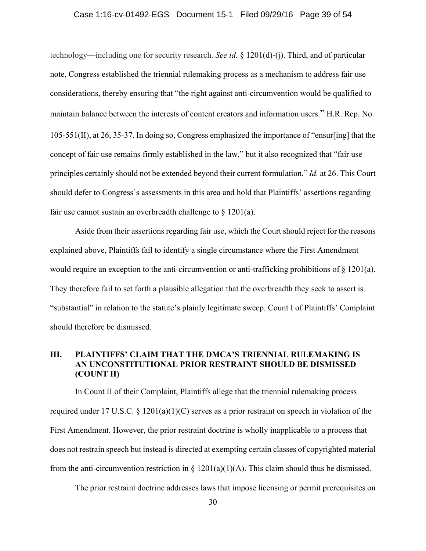### Case 1:16-cv-01492-EGS Document 15-1 Filed 09/29/16 Page 39 of 54

technology—including one for security research. *See id.* § 1201(d)-(j). Third, and of particular note, Congress established the triennial rulemaking process as a mechanism to address fair use considerations, thereby ensuring that "the right against anti-circumvention would be qualified to maintain balance between the interests of content creators and information users." H.R. Rep. No. 105-551(II), at 26, 35-37. In doing so, Congress emphasized the importance of "ensur[ing] that the concept of fair use remains firmly established in the law," but it also recognized that "fair use principles certainly should not be extended beyond their current formulation." *Id.* at 26. This Court should defer to Congress's assessments in this area and hold that Plaintiffs' assertions regarding fair use cannot sustain an overbreadth challenge to  $\S$  1201(a).

Aside from their assertions regarding fair use, which the Court should reject for the reasons explained above, Plaintiffs fail to identify a single circumstance where the First Amendment would require an exception to the anti-circumvention or anti-trafficking prohibitions of  $\S$  1201(a). They therefore fail to set forth a plausible allegation that the overbreadth they seek to assert is "substantial" in relation to the statute's plainly legitimate sweep. Count I of Plaintiffs' Complaint should therefore be dismissed.

### **III. PLAINTIFFS' CLAIM THAT THE DMCA'S TRIENNIAL RULEMAKING IS AN UNCONSTITUTIONAL PRIOR RESTRAINT SHOULD BE DISMISSED (COUNT II)**

In Count II of their Complaint, Plaintiffs allege that the triennial rulemaking process required under 17 U.S.C. § 1201(a)(1)(C) serves as a prior restraint on speech in violation of the First Amendment. However, the prior restraint doctrine is wholly inapplicable to a process that does not restrain speech but instead is directed at exempting certain classes of copyrighted material from the anti-circumvention restriction in  $\S$  1201(a)(1)(A). This claim should thus be dismissed.

The prior restraint doctrine addresses laws that impose licensing or permit prerequisites on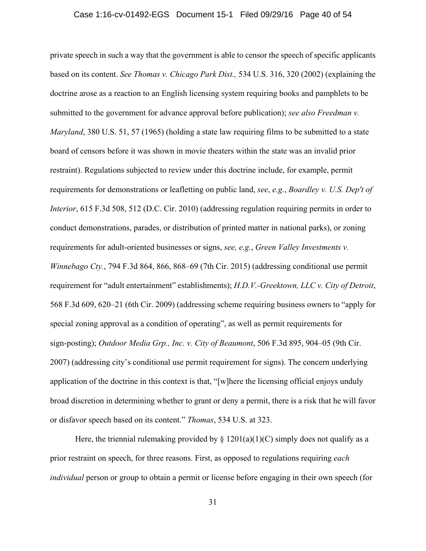### Case 1:16-cv-01492-EGS Document 15-1 Filed 09/29/16 Page 40 of 54

private speech in such a way that the government is able to censor the speech of specific applicants based on its content. *See Thomas v. Chicago Park Dist.,* 534 U.S. 316, 320 (2002) (explaining the doctrine arose as a reaction to an English licensing system requiring books and pamphlets to be submitted to the government for advance approval before publication); *see also Freedman v. Maryland*, 380 U.S. 51, 57 (1965) (holding a state law requiring films to be submitted to a state board of censors before it was shown in movie theaters within the state was an invalid prior restraint). Regulations subjected to review under this doctrine include, for example, permit requirements for demonstrations or leafletting on public land, *see*, *e.g.*, *Boardley v. U.S. Dep't of Interior*, 615 F.3d 508, 512 (D.C. Cir. 2010) (addressing regulation requiring permits in order to conduct demonstrations, parades, or distribution of printed matter in national parks), or zoning requirements for adult-oriented businesses or signs, *see, e.g.*, *Green Valley Investments v. Winnebago Cty.*, 794 F.3d 864, 866, 868–69 (7th Cir. 2015) (addressing conditional use permit requirement for "adult entertainment" establishments); *H.D.V.-Greektown, LLC v. City of Detroit*, 568 F.3d 609, 620–21 (6th Cir. 2009) (addressing scheme requiring business owners to "apply for special zoning approval as a condition of operating", as well as permit requirements for sign-posting); *Outdoor Media Grp., Inc. v. City of Beaumont*, 506 F.3d 895, 904–05 (9th Cir. 2007) (addressing city's conditional use permit requirement for signs). The concern underlying application of the doctrine in this context is that, "[w]here the licensing official enjoys unduly broad discretion in determining whether to grant or deny a permit, there is a risk that he will favor or disfavor speech based on its content." *Thomas*, 534 U.S. at 323.

Here, the triennial rulemaking provided by  $\S 1201(a)(1)(C)$  simply does not qualify as a prior restraint on speech, for three reasons. First, as opposed to regulations requiring *each individual* person or group to obtain a permit or license before engaging in their own speech (for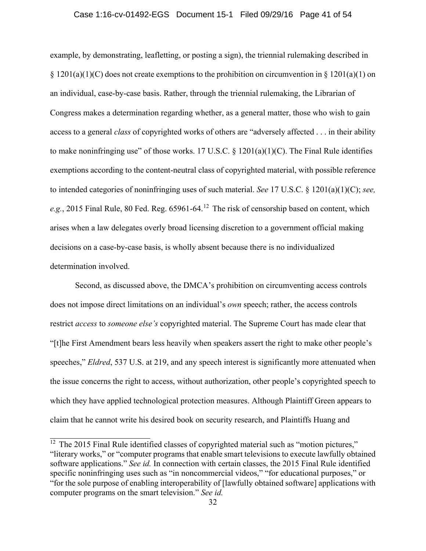### Case 1:16-cv-01492-EGS Document 15-1 Filed 09/29/16 Page 41 of 54

example, by demonstrating, leafletting, or posting a sign), the triennial rulemaking described in  $\S 1201(a)(1)(C)$  does not create exemptions to the prohibition on circumvention in  $\S 1201(a)(1)$  on an individual, case-by-case basis. Rather, through the triennial rulemaking, the Librarian of Congress makes a determination regarding whether, as a general matter, those who wish to gain access to a general *class* of copyrighted works of others are "adversely affected . . . in their ability to make noninfringing use" of those works. 17 U.S.C.  $\S$  1201(a)(1)(C). The Final Rule identifies exemptions according to the content-neutral class of copyrighted material, with possible reference to intended categories of noninfringing uses of such material. *See* 17 U.S.C. § 1201(a)(1)(C); *see, e.g.*, 2015 Final Rule, 80 Fed. Reg. 65961-64. <sup>12</sup> The risk of censorship based on content, which arises when a law delegates overly broad licensing discretion to a government official making decisions on a case-by-case basis, is wholly absent because there is no individualized determination involved.

Second, as discussed above, the DMCA's prohibition on circumventing access controls does not impose direct limitations on an individual's *own* speech; rather, the access controls restrict *access* to *someone else's* copyrighted material. The Supreme Court has made clear that "[t]he First Amendment bears less heavily when speakers assert the right to make other people's speeches," *Eldred*, 537 U.S. at 219, and any speech interest is significantly more attenuated when the issue concerns the right to access, without authorization, other people's copyrighted speech to which they have applied technological protection measures. Although Plaintiff Green appears to claim that he cannot write his desired book on security research, and Plaintiffs Huang and

 $12$  The 2015 Final Rule identified classes of copyrighted material such as "motion pictures," "literary works," or "computer programs that enable smart televisions to execute lawfully obtained software applications." *See id.* In connection with certain classes, the 2015 Final Rule identified specific noninfringing uses such as "in noncommercial videos," "for educational purposes," or "for the sole purpose of enabling interoperability of [lawfully obtained software] applications with computer programs on the smart television." *See id.*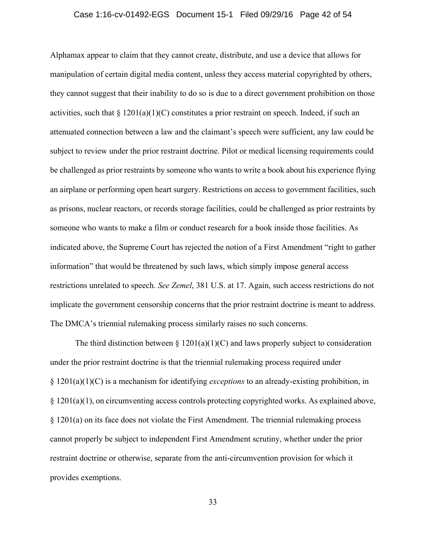### Case 1:16-cv-01492-EGS Document 15-1 Filed 09/29/16 Page 42 of 54

Alphamax appear to claim that they cannot create, distribute, and use a device that allows for manipulation of certain digital media content, unless they access material copyrighted by others, they cannot suggest that their inability to do so is due to a direct government prohibition on those activities, such that  $\S 1201(a)(1)(C)$  constitutes a prior restraint on speech. Indeed, if such an attenuated connection between a law and the claimant's speech were sufficient, any law could be subject to review under the prior restraint doctrine. Pilot or medical licensing requirements could be challenged as prior restraints by someone who wants to write a book about his experience flying an airplane or performing open heart surgery. Restrictions on access to government facilities, such as prisons, nuclear reactors, or records storage facilities, could be challenged as prior restraints by someone who wants to make a film or conduct research for a book inside those facilities. As indicated above, the Supreme Court has rejected the notion of a First Amendment "right to gather information" that would be threatened by such laws, which simply impose general access restrictions unrelated to speech. *See Zemel*, 381 U.S. at 17. Again, such access restrictions do not implicate the government censorship concerns that the prior restraint doctrine is meant to address. The DMCA's triennial rulemaking process similarly raises no such concerns.

The third distinction between  $\S 1201(a)(1)(C)$  and laws properly subject to consideration under the prior restraint doctrine is that the triennial rulemaking process required under § 1201(a)(1)(C) is a mechanism for identifying *exceptions* to an already-existing prohibition, in § 1201(a)(1), on circumventing access controls protecting copyrighted works. As explained above, § 1201(a) on its face does not violate the First Amendment. The triennial rulemaking process cannot properly be subject to independent First Amendment scrutiny, whether under the prior restraint doctrine or otherwise, separate from the anti-circumvention provision for which it provides exemptions.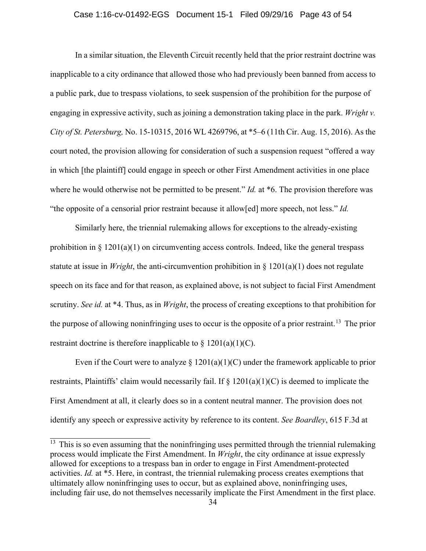### Case 1:16-cv-01492-EGS Document 15-1 Filed 09/29/16 Page 43 of 54

In a similar situation, the Eleventh Circuit recently held that the prior restraint doctrine was inapplicable to a city ordinance that allowed those who had previously been banned from access to a public park, due to trespass violations, to seek suspension of the prohibition for the purpose of engaging in expressive activity, such as joining a demonstration taking place in the park. *Wright v. City of St. Petersburg,* No. 15-10315, 2016 WL 4269796, at \*5–6 (11th Cir. Aug. 15, 2016). As the court noted, the provision allowing for consideration of such a suspension request "offered a way in which [the plaintiff] could engage in speech or other First Amendment activities in one place where he would otherwise not be permitted to be present." *Id.* at \*6. The provision therefore was "the opposite of a censorial prior restraint because it allow[ed] more speech, not less." *Id.*

Similarly here, the triennial rulemaking allows for exceptions to the already-existing prohibition in  $\S 1201(a)(1)$  on circumventing access controls. Indeed, like the general trespass statute at issue in *Wright*, the anti-circumvention prohibition in § 1201(a)(1) does not regulate speech on its face and for that reason, as explained above, is not subject to facial First Amendment scrutiny. *See id.* at \*4. Thus, as in *Wright*, the process of creating exceptions to that prohibition for the purpose of allowing noninfringing uses to occur is the opposite of a prior restraint.<sup>13</sup> The prior restraint doctrine is therefore inapplicable to  $\S 1201(a)(1)(C)$ .

Even if the Court were to analyze  $\S 1201(a)(1)(C)$  under the framework applicable to prior restraints, Plaintiffs' claim would necessarily fail. If § 1201(a)(1)(C) is deemed to implicate the First Amendment at all, it clearly does so in a content neutral manner. The provision does not identify any speech or expressive activity by reference to its content. *See Boardley*, 615 F.3d at

 $\frac{13}{13}$  This is so even assuming that the noninfringing uses permitted through the triennial rulemaking process would implicate the First Amendment. In *Wright*, the city ordinance at issue expressly allowed for exceptions to a trespass ban in order to engage in First Amendment-protected activities. *Id.* at \*5. Here, in contrast, the triennial rulemaking process creates exemptions that ultimately allow noninfringing uses to occur, but as explained above, noninfringing uses, including fair use, do not themselves necessarily implicate the First Amendment in the first place.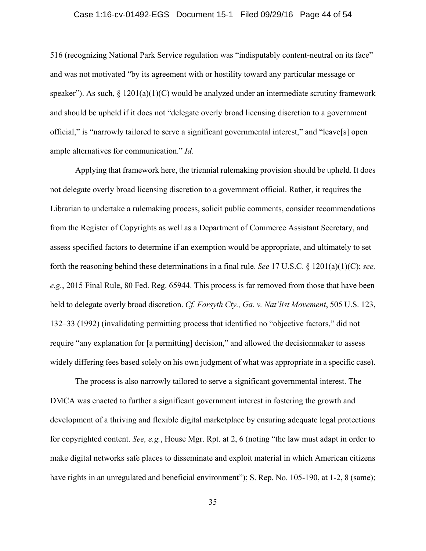### Case 1:16-cv-01492-EGS Document 15-1 Filed 09/29/16 Page 44 of 54

516 (recognizing National Park Service regulation was "indisputably content-neutral on its face" and was not motivated "by its agreement with or hostility toward any particular message or speaker"). As such,  $\S 1201(a)(1)(C)$  would be analyzed under an intermediate scrutiny framework and should be upheld if it does not "delegate overly broad licensing discretion to a government official," is "narrowly tailored to serve a significant governmental interest," and "leave[s] open ample alternatives for communication." *Id.*

Applying that framework here, the triennial rulemaking provision should be upheld. It does not delegate overly broad licensing discretion to a government official. Rather, it requires the Librarian to undertake a rulemaking process, solicit public comments, consider recommendations from the Register of Copyrights as well as a Department of Commerce Assistant Secretary, and assess specified factors to determine if an exemption would be appropriate, and ultimately to set forth the reasoning behind these determinations in a final rule. *See* 17 U.S.C. § 1201(a)(1)(C); *see, e.g.*, 2015 Final Rule, 80 Fed. Reg. 65944. This process is far removed from those that have been held to delegate overly broad discretion. *Cf. Forsyth Cty., Ga. v. Nat'list Movement*, 505 U.S. 123, 132–33 (1992) (invalidating permitting process that identified no "objective factors," did not require "any explanation for [a permitting] decision," and allowed the decisionmaker to assess widely differing fees based solely on his own judgment of what was appropriate in a specific case).

The process is also narrowly tailored to serve a significant governmental interest. The DMCA was enacted to further a significant government interest in fostering the growth and development of a thriving and flexible digital marketplace by ensuring adequate legal protections for copyrighted content. *See, e.g.*, House Mgr. Rpt. at 2, 6 (noting "the law must adapt in order to make digital networks safe places to disseminate and exploit material in which American citizens have rights in an unregulated and beneficial environment"); S. Rep. No. 105-190, at 1-2, 8 (same);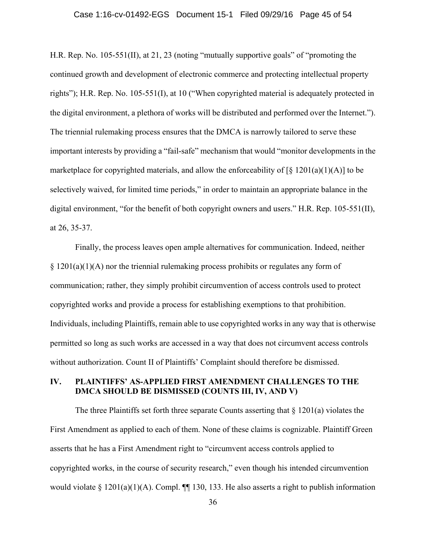### Case 1:16-cv-01492-EGS Document 15-1 Filed 09/29/16 Page 45 of 54

H.R. Rep. No. 105-551(II), at 21, 23 (noting "mutually supportive goals" of "promoting the continued growth and development of electronic commerce and protecting intellectual property rights"); H.R. Rep. No. 105-551(I), at 10 ("When copyrighted material is adequately protected in the digital environment, a plethora of works will be distributed and performed over the Internet."). The triennial rulemaking process ensures that the DMCA is narrowly tailored to serve these important interests by providing a "fail-safe" mechanism that would "monitor developments in the marketplace for copyrighted materials, and allow the enforceability of  $\lceil \S 1201(a)(1)(A) \rceil$  to be selectively waived, for limited time periods," in order to maintain an appropriate balance in the digital environment, "for the benefit of both copyright owners and users." H.R. Rep. 105-551(II), at 26, 35-37.

Finally, the process leaves open ample alternatives for communication. Indeed, neither  $\S 1201(a)(1)(A)$  nor the triennial rulemaking process prohibits or regulates any form of communication; rather, they simply prohibit circumvention of access controls used to protect copyrighted works and provide a process for establishing exemptions to that prohibition. Individuals, including Plaintiffs, remain able to use copyrighted works in any way that is otherwise permitted so long as such works are accessed in a way that does not circumvent access controls without authorization. Count II of Plaintiffs' Complaint should therefore be dismissed.

### **IV. PLAINTIFFS' AS-APPLIED FIRST AMENDMENT CHALLENGES TO THE DMCA SHOULD BE DISMISSED (COUNTS III, IV, AND V)**

The three Plaintiffs set forth three separate Counts asserting that  $\S$  1201(a) violates the First Amendment as applied to each of them. None of these claims is cognizable. Plaintiff Green asserts that he has a First Amendment right to "circumvent access controls applied to copyrighted works, in the course of security research," even though his intended circumvention would violate § 1201(a)(1)(A). Compl.  $\P\P$  130, 133. He also asserts a right to publish information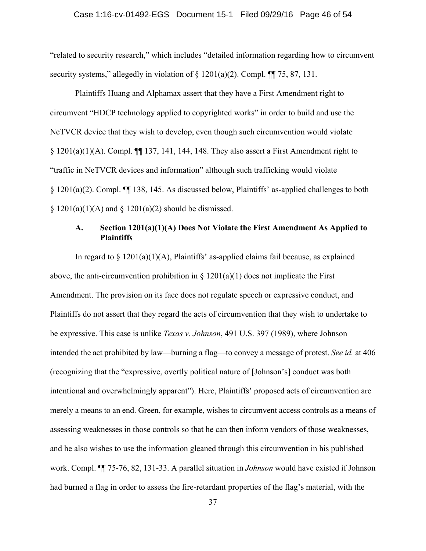### Case 1:16-cv-01492-EGS Document 15-1 Filed 09/29/16 Page 46 of 54

"related to security research," which includes "detailed information regarding how to circumvent security systems," allegedly in violation of  $\S$  1201(a)(2). Compl.  $\P$  75, 87, 131.

Plaintiffs Huang and Alphamax assert that they have a First Amendment right to circumvent "HDCP technology applied to copyrighted works" in order to build and use the NeTVCR device that they wish to develop, even though such circumvention would violate  $\S$  1201(a)(1)(A). Compl.  $\P\P$  137, 141, 144, 148. They also assert a First Amendment right to "traffic in NeTVCR devices and information" although such trafficking would violate § 1201(a)(2). Compl. ¶¶ 138, 145. As discussed below, Plaintiffs' as-applied challenges to both  $\S$  1201(a)(1)(A) and  $\S$  1201(a)(2) should be dismissed.

### **A. Section 1201(a)(1)(A) Does Not Violate the First Amendment As Applied to Plaintiffs**

In regard to  $\S 1201(a)(1)(A)$ , Plaintiffs' as-applied claims fail because, as explained above, the anti-circumvention prohibition in  $\S$  1201(a)(1) does not implicate the First Amendment. The provision on its face does not regulate speech or expressive conduct, and Plaintiffs do not assert that they regard the acts of circumvention that they wish to undertake to be expressive. This case is unlike *Texas v. Johnson*, 491 U.S. 397 (1989), where Johnson intended the act prohibited by law—burning a flag—to convey a message of protest. *See id.* at 406 (recognizing that the "expressive, overtly political nature of [Johnson's] conduct was both intentional and overwhelmingly apparent"). Here, Plaintiffs' proposed acts of circumvention are merely a means to an end. Green, for example, wishes to circumvent access controls as a means of assessing weaknesses in those controls so that he can then inform vendors of those weaknesses, and he also wishes to use the information gleaned through this circumvention in his published work. Compl. ¶¶ 75-76, 82, 131-33. A parallel situation in *Johnson* would have existed if Johnson had burned a flag in order to assess the fire-retardant properties of the flag's material, with the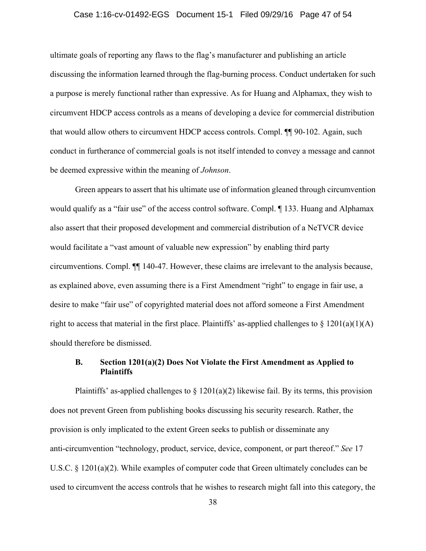### Case 1:16-cv-01492-EGS Document 15-1 Filed 09/29/16 Page 47 of 54

ultimate goals of reporting any flaws to the flag's manufacturer and publishing an article discussing the information learned through the flag-burning process. Conduct undertaken for such a purpose is merely functional rather than expressive. As for Huang and Alphamax, they wish to circumvent HDCP access controls as a means of developing a device for commercial distribution that would allow others to circumvent HDCP access controls. Compl. ¶¶ 90-102. Again, such conduct in furtherance of commercial goals is not itself intended to convey a message and cannot be deemed expressive within the meaning of *Johnson*.

Green appears to assert that his ultimate use of information gleaned through circumvention would qualify as a "fair use" of the access control software. Compl. ¶ 133. Huang and Alphamax also assert that their proposed development and commercial distribution of a NeTVCR device would facilitate a "vast amount of valuable new expression" by enabling third party circumventions. Compl. ¶¶ 140-47. However, these claims are irrelevant to the analysis because, as explained above, even assuming there is a First Amendment "right" to engage in fair use, a desire to make "fair use" of copyrighted material does not afford someone a First Amendment right to access that material in the first place. Plaintiffs' as-applied challenges to  $\S$  1201(a)(1)(A) should therefore be dismissed.

### **B. Section 1201(a)(2) Does Not Violate the First Amendment as Applied to Plaintiffs**

Plaintiffs' as-applied challenges to  $\S 1201(a)(2)$  likewise fail. By its terms, this provision does not prevent Green from publishing books discussing his security research. Rather, the provision is only implicated to the extent Green seeks to publish or disseminate any anti-circumvention "technology, product, service, device, component, or part thereof." *See* 17 U.S.C. § 1201(a)(2). While examples of computer code that Green ultimately concludes can be used to circumvent the access controls that he wishes to research might fall into this category, the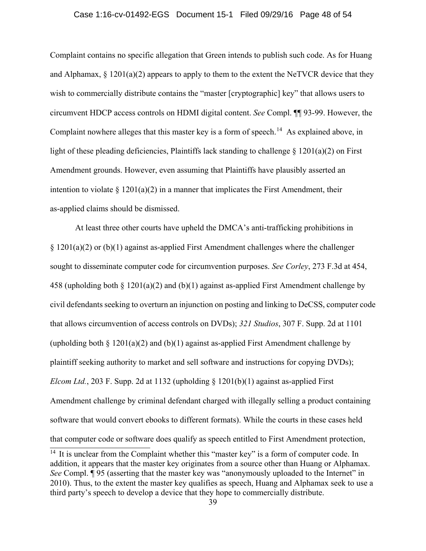### Case 1:16-cv-01492-EGS Document 15-1 Filed 09/29/16 Page 48 of 54

Complaint contains no specific allegation that Green intends to publish such code. As for Huang and Alphamax,  $\S$  1201(a)(2) appears to apply to them to the extent the NeTVCR device that they wish to commercially distribute contains the "master [cryptographic] key" that allows users to circumvent HDCP access controls on HDMI digital content. *See* Compl. ¶¶ 93-99. However, the Complaint nowhere alleges that this master key is a form of speech.<sup>14</sup> As explained above, in light of these pleading deficiencies, Plaintiffs lack standing to challenge  $\S$  1201(a)(2) on First Amendment grounds. However, even assuming that Plaintiffs have plausibly asserted an intention to violate  $\S 1201(a)(2)$  in a manner that implicates the First Amendment, their as-applied claims should be dismissed.

At least three other courts have upheld the DMCA's anti-trafficking prohibitions in  $\S 1201(a)(2)$  or (b)(1) against as-applied First Amendment challenges where the challenger sought to disseminate computer code for circumvention purposes. *See Corley*, 273 F.3d at 454, 458 (upholding both § 1201(a)(2) and (b)(1) against as-applied First Amendment challenge by civil defendants seeking to overturn an injunction on posting and linking to DeCSS, computer code that allows circumvention of access controls on DVDs); *321 Studios*, 307 F. Supp. 2d at 1101 (upholding both  $\S 1201(a)(2)$  and (b)(1) against as-applied First Amendment challenge by plaintiff seeking authority to market and sell software and instructions for copying DVDs); *Elcom Ltd.*, 203 F. Supp. 2d at 1132 (upholding § 1201(b)(1) against as-applied First Amendment challenge by criminal defendant charged with illegally selling a product containing software that would convert ebooks to different formats). While the courts in these cases held that computer code or software does qualify as speech entitled to First Amendment protection,

 $14$  It is unclear from the Complaint whether this "master key" is a form of computer code. In addition, it appears that the master key originates from a source other than Huang or Alphamax. *See* Compl. **[95** (asserting that the master key was "anonymously uploaded to the Internet" in 2010). Thus, to the extent the master key qualifies as speech, Huang and Alphamax seek to use a third party's speech to develop a device that they hope to commercially distribute.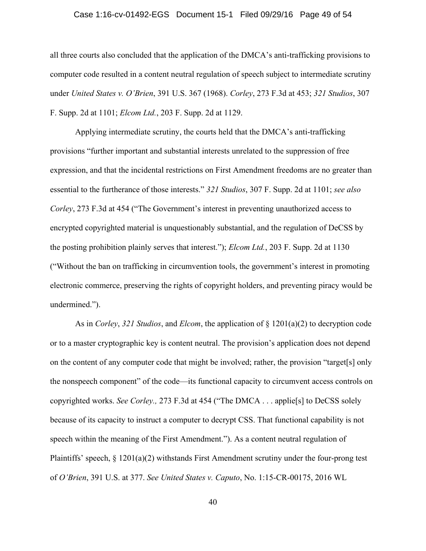### Case 1:16-cv-01492-EGS Document 15-1 Filed 09/29/16 Page 49 of 54

all three courts also concluded that the application of the DMCA's anti-trafficking provisions to computer code resulted in a content neutral regulation of speech subject to intermediate scrutiny under *United States v. O'Brien*, 391 U.S. 367 (1968). *Corley*, 273 F.3d at 453; *321 Studios*, 307 F. Supp. 2d at 1101; *Elcom Ltd.*, 203 F. Supp. 2d at 1129.

Applying intermediate scrutiny, the courts held that the DMCA's anti-trafficking provisions "further important and substantial interests unrelated to the suppression of free expression, and that the incidental restrictions on First Amendment freedoms are no greater than essential to the furtherance of those interests." *321 Studios*, 307 F. Supp. 2d at 1101; *see also Corley*, 273 F.3d at 454 ("The Government's interest in preventing unauthorized access to encrypted copyrighted material is unquestionably substantial, and the regulation of DeCSS by the posting prohibition plainly serves that interest."); *Elcom Ltd.*, 203 F. Supp. 2d at 1130 ("Without the ban on trafficking in circumvention tools, the government's interest in promoting electronic commerce, preserving the rights of copyright holders, and preventing piracy would be undermined.").

As in *Corley*, *321 Studios*, and *Elcom*, the application of § 1201(a)(2) to decryption code or to a master cryptographic key is content neutral. The provision's application does not depend on the content of any computer code that might be involved; rather, the provision "target[s] only the nonspeech component" of the code—its functional capacity to circumvent access controls on copyrighted works. *See Corley.,* 273 F.3d at 454 ("The DMCA . . . applie[s] to DeCSS solely because of its capacity to instruct a computer to decrypt CSS. That functional capability is not speech within the meaning of the First Amendment."). As a content neutral regulation of Plaintiffs' speech, § 1201(a)(2) withstands First Amendment scrutiny under the four-prong test of *O'Brien*, 391 U.S. at 377. *See United States v. Caputo*, No. 1:15-CR-00175, 2016 WL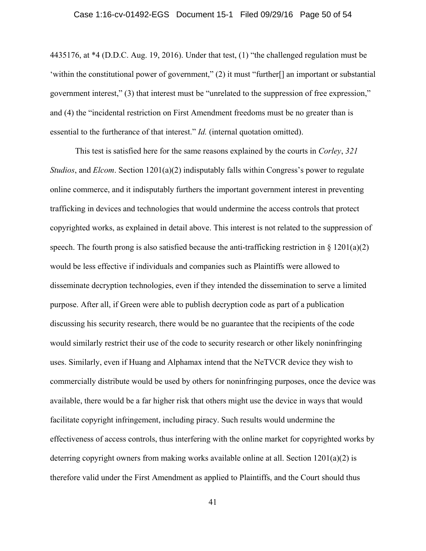### Case 1:16-cv-01492-EGS Document 15-1 Filed 09/29/16 Page 50 of 54

4435176, at \*4 (D.D.C. Aug. 19, 2016). Under that test, (1) "the challenged regulation must be 'within the constitutional power of government," (2) it must "further[] an important or substantial government interest," (3) that interest must be "unrelated to the suppression of free expression," and (4) the "incidental restriction on First Amendment freedoms must be no greater than is essential to the furtherance of that interest." *Id.* (internal quotation omitted).

This test is satisfied here for the same reasons explained by the courts in *Corley*, *321 Studios*, and *Elcom*. Section 1201(a)(2) indisputably falls within Congress's power to regulate online commerce, and it indisputably furthers the important government interest in preventing trafficking in devices and technologies that would undermine the access controls that protect copyrighted works, as explained in detail above. This interest is not related to the suppression of speech. The fourth prong is also satisfied because the anti-trafficking restriction in  $\S$  1201(a)(2) would be less effective if individuals and companies such as Plaintiffs were allowed to disseminate decryption technologies, even if they intended the dissemination to serve a limited purpose. After all, if Green were able to publish decryption code as part of a publication discussing his security research, there would be no guarantee that the recipients of the code would similarly restrict their use of the code to security research or other likely noninfringing uses. Similarly, even if Huang and Alphamax intend that the NeTVCR device they wish to commercially distribute would be used by others for noninfringing purposes, once the device was available, there would be a far higher risk that others might use the device in ways that would facilitate copyright infringement, including piracy. Such results would undermine the effectiveness of access controls, thus interfering with the online market for copyrighted works by deterring copyright owners from making works available online at all. Section 1201(a)(2) is therefore valid under the First Amendment as applied to Plaintiffs, and the Court should thus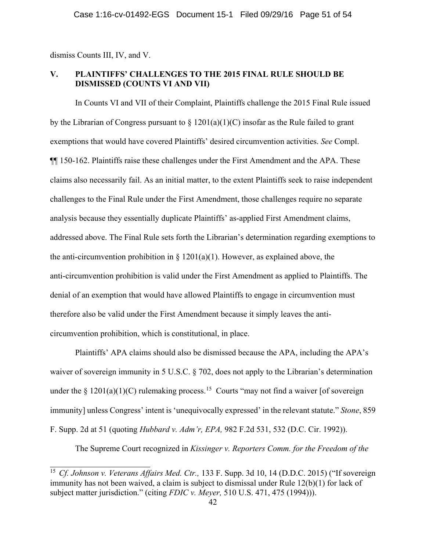dismiss Counts III, IV, and V.

### **V. PLAINTIFFS' CHALLENGES TO THE 2015 FINAL RULE SHOULD BE DISMISSED (COUNTS VI AND VII)**

In Counts VI and VII of their Complaint, Plaintiffs challenge the 2015 Final Rule issued by the Librarian of Congress pursuant to  $\S$  1201(a)(1)(C) insofar as the Rule failed to grant exemptions that would have covered Plaintiffs' desired circumvention activities. *See* Compl. ¶¶ 150-162. Plaintiffs raise these challenges under the First Amendment and the APA. These claims also necessarily fail. As an initial matter, to the extent Plaintiffs seek to raise independent challenges to the Final Rule under the First Amendment, those challenges require no separate analysis because they essentially duplicate Plaintiffs' as-applied First Amendment claims, addressed above. The Final Rule sets forth the Librarian's determination regarding exemptions to the anti-circumvention prohibition in  $\S$  1201(a)(1). However, as explained above, the anti-circumvention prohibition is valid under the First Amendment as applied to Plaintiffs. The denial of an exemption that would have allowed Plaintiffs to engage in circumvention must therefore also be valid under the First Amendment because it simply leaves the anticircumvention prohibition, which is constitutional, in place.

Plaintiffs' APA claims should also be dismissed because the APA, including the APA's waiver of sovereign immunity in 5 U.S.C. § 702, does not apply to the Librarian's determination under the  $\S$  1201(a)(1)(C) rulemaking process.<sup>15</sup> Courts "may not find a waiver [of sovereign immunity] unless Congress' intent is 'unequivocally expressed' in the relevant statute." *Stone*, 859 F. Supp. 2d at 51 (quoting *Hubbard v. Adm'r, EPA,* 982 F.2d 531, 532 (D.C. Cir. 1992)).

The Supreme Court recognized in *Kissinger v. Reporters Comm. for the Freedom of the* 

 <sup>15</sup> *Cf. Johnson v. Veterans Affairs Med. Ctr.,* 133 F. Supp. 3d 10, 14 (D.D.C. 2015) ("If sovereign immunity has not been waived, a claim is subject to dismissal under Rule 12(b)(1) for lack of subject matter jurisdiction." (citing *FDIC v. Meyer,* 510 U.S. 471, 475 (1994))).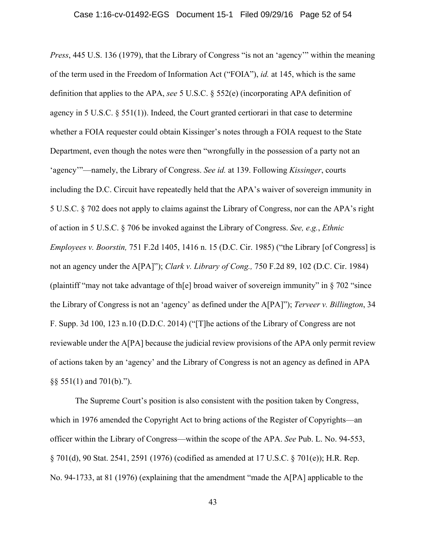*Press*, 445 U.S. 136 (1979), that the Library of Congress "is not an 'agency'" within the meaning of the term used in the Freedom of Information Act ("FOIA"), *id.* at 145, which is the same definition that applies to the APA, *see* 5 U.S.C. § 552(e) (incorporating APA definition of agency in 5 U.S.C. § 551(1)). Indeed, the Court granted certiorari in that case to determine whether a FOIA requester could obtain Kissinger's notes through a FOIA request to the State Department, even though the notes were then "wrongfully in the possession of a party not an 'agency'"—namely, the Library of Congress. *See id.* at 139. Following *Kissinger*, courts including the D.C. Circuit have repeatedly held that the APA's waiver of sovereign immunity in 5 U.S.C. § 702 does not apply to claims against the Library of Congress, nor can the APA's right of action in 5 U.S.C. § 706 be invoked against the Library of Congress. *See, e.g.*, *Ethnic Employees v. Boorstin,* 751 F.2d 1405, 1416 n. 15 (D.C. Cir. 1985) ("the Library [of Congress] is not an agency under the A[PA]"); *Clark v. Library of Cong.,* 750 F.2d 89, 102 (D.C. Cir. 1984) (plaintiff "may not take advantage of th[e] broad waiver of sovereign immunity" in § 702 "since the Library of Congress is not an 'agency' as defined under the A[PA]"); *Terveer v. Billington*, 34 F. Supp. 3d 100, 123 n.10 (D.D.C. 2014) ("[T]he actions of the Library of Congress are not reviewable under the A[PA] because the judicial review provisions of the APA only permit review of actions taken by an 'agency' and the Library of Congress is not an agency as defined in APA  $\S$ § 551(1) and 701(b).").

The Supreme Court's position is also consistent with the position taken by Congress, which in 1976 amended the Copyright Act to bring actions of the Register of Copyrights—an officer within the Library of Congress—within the scope of the APA. *See* Pub. L. No. 94-553, § 701(d), 90 Stat. 2541, 2591 (1976) (codified as amended at 17 U.S.C. § 701(e)); H.R. Rep. No. 94-1733, at 81 (1976) (explaining that the amendment "made the A[PA] applicable to the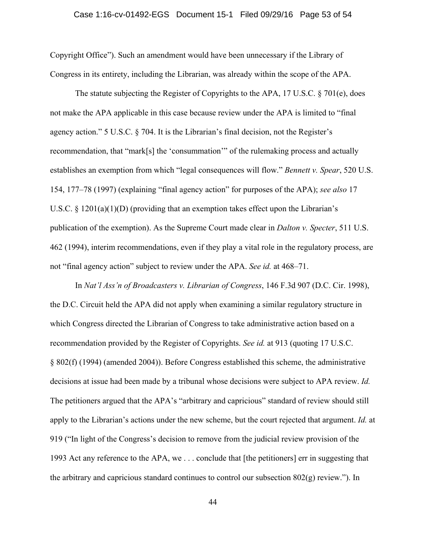### Case 1:16-cv-01492-EGS Document 15-1 Filed 09/29/16 Page 53 of 54

Copyright Office"). Such an amendment would have been unnecessary if the Library of Congress in its entirety, including the Librarian, was already within the scope of the APA.

The statute subjecting the Register of Copyrights to the APA, 17 U.S.C. § 701(e), does not make the APA applicable in this case because review under the APA is limited to "final agency action." 5 U.S.C. § 704. It is the Librarian's final decision, not the Register's recommendation, that "mark[s] the 'consummation'" of the rulemaking process and actually establishes an exemption from which "legal consequences will flow." *Bennett v. Spear*, 520 U.S. 154, 177–78 (1997) (explaining "final agency action" for purposes of the APA); *see also* 17 U.S.C. § 1201(a)(1)(D) (providing that an exemption takes effect upon the Librarian's publication of the exemption). As the Supreme Court made clear in *Dalton v. Specter*, 511 U.S. 462 (1994), interim recommendations, even if they play a vital role in the regulatory process, are not "final agency action" subject to review under the APA. *See id.* at 468–71.

In *Nat'l Ass'n of Broadcasters v. Librarian of Congress*, 146 F.3d 907 (D.C. Cir. 1998), the D.C. Circuit held the APA did not apply when examining a similar regulatory structure in which Congress directed the Librarian of Congress to take administrative action based on a recommendation provided by the Register of Copyrights. *See id.* at 913 (quoting 17 U.S.C. § 802(f) (1994) (amended 2004)). Before Congress established this scheme, the administrative decisions at issue had been made by a tribunal whose decisions were subject to APA review. *Id.* The petitioners argued that the APA's "arbitrary and capricious" standard of review should still apply to the Librarian's actions under the new scheme, but the court rejected that argument. *Id.* at 919 ("In light of the Congress's decision to remove from the judicial review provision of the 1993 Act any reference to the APA, we . . . conclude that [the petitioners] err in suggesting that the arbitrary and capricious standard continues to control our subsection  $802(g)$  review."). In